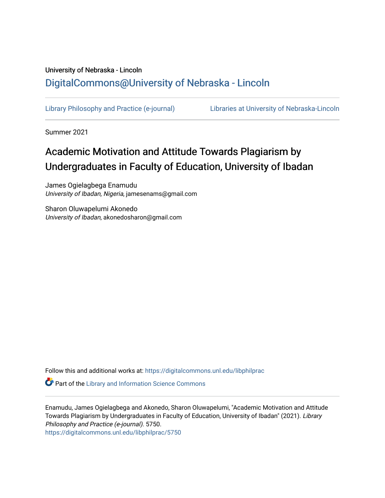# University of Nebraska - Lincoln [DigitalCommons@University of Nebraska - Lincoln](https://digitalcommons.unl.edu/)

[Library Philosophy and Practice \(e-journal\)](https://digitalcommons.unl.edu/libphilprac) [Libraries at University of Nebraska-Lincoln](https://digitalcommons.unl.edu/libraries) 

Summer 2021

# Academic Motivation and Attitude Towards Plagiarism by Undergraduates in Faculty of Education, University of Ibadan

James Ogielagbega Enamudu University of Ibadan, Nigeria, jamesenams@gmail.com

Sharon Oluwapelumi Akonedo University of Ibadan, akonedosharon@gmail.com

Follow this and additional works at: [https://digitalcommons.unl.edu/libphilprac](https://digitalcommons.unl.edu/libphilprac?utm_source=digitalcommons.unl.edu%2Flibphilprac%2F5750&utm_medium=PDF&utm_campaign=PDFCoverPages) 

**P** Part of the Library and Information Science Commons

Enamudu, James Ogielagbega and Akonedo, Sharon Oluwapelumi, "Academic Motivation and Attitude Towards Plagiarism by Undergraduates in Faculty of Education, University of Ibadan" (2021). Library Philosophy and Practice (e-journal). 5750.

[https://digitalcommons.unl.edu/libphilprac/5750](https://digitalcommons.unl.edu/libphilprac/5750?utm_source=digitalcommons.unl.edu%2Flibphilprac%2F5750&utm_medium=PDF&utm_campaign=PDFCoverPages)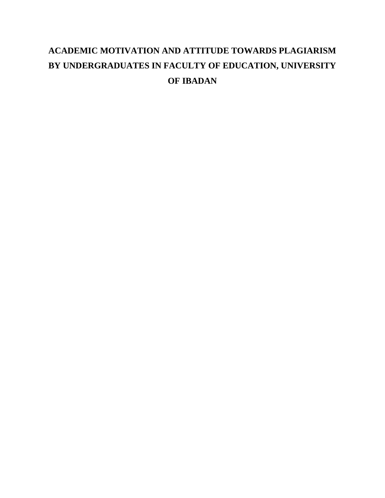# **ACADEMIC MOTIVATION AND ATTITUDE TOWARDS PLAGIARISM BY UNDERGRADUATES IN FACULTY OF EDUCATION, UNIVERSITY OF IBADAN**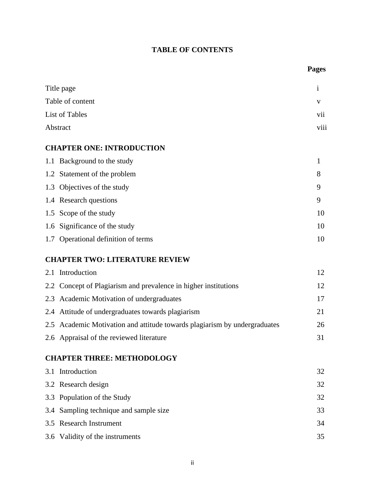# **TABLE OF CONTENTS**

|     |                                                                           | <b>Pages</b> |
|-----|---------------------------------------------------------------------------|--------------|
|     | Title page                                                                | $\mathbf{i}$ |
|     | Table of content                                                          | V            |
|     | List of Tables                                                            | vii          |
|     | Abstract                                                                  | viii         |
|     | <b>CHAPTER ONE: INTRODUCTION</b>                                          |              |
|     | 1.1 Background to the study                                               | $\mathbf{1}$ |
|     | 1.2 Statement of the problem                                              | 8            |
|     | 1.3 Objectives of the study                                               | 9            |
|     | 1.4 Research questions                                                    | 9            |
|     | 1.5 Scope of the study                                                    | 10           |
| 1.6 | Significance of the study                                                 | 10           |
|     | 1.7 Operational definition of terms                                       | 10           |
|     | <b>CHAPTER TWO: LITERATURE REVIEW</b>                                     |              |
|     | 2.1 Introduction                                                          | 12           |
| 2.2 | Concept of Plagiarism and prevalence in higher institutions               | 12           |
|     | 2.3 Academic Motivation of undergraduates                                 | 17           |
|     | 2.4 Attitude of undergraduates towards plagiarism                         | 21           |
|     | 2.5 Academic Motivation and attitude towards plagiarism by undergraduates | 26           |
|     | 2.6 Appraisal of the reviewed literature                                  | 31           |
|     | <b>CHAPTER THREE: METHODOLOGY</b>                                         |              |
|     | 3.1 Introduction                                                          | 32           |
|     | 3.2 Research design                                                       | 32           |
|     | 3.3 Population of the Study                                               | 32           |
| 3.4 | Sampling technique and sample size                                        | 33           |
|     | 3.5 Research Instrument                                                   | 34           |
|     | 3.6 Validity of the instruments                                           | 35           |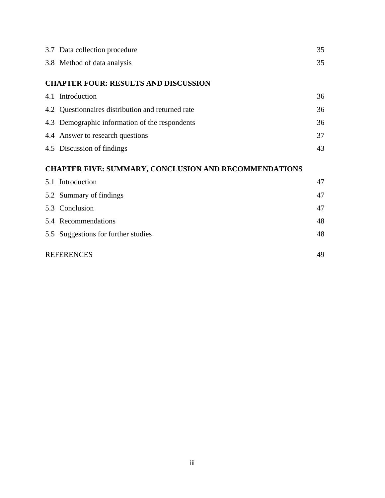| 3.7 Data collection procedure                                | 35 |
|--------------------------------------------------------------|----|
| 3.8 Method of data analysis                                  | 35 |
| <b>CHAPTER FOUR: RESULTS AND DISCUSSION</b>                  |    |
| 4.1 Introduction                                             | 36 |
| 4.2 Questionnaires distribution and returned rate            | 36 |
| 4.3 Demographic information of the respondents               | 36 |
| 4.4 Answer to research questions                             | 37 |
| 4.5 Discussion of findings                                   | 43 |
| <b>CHAPTER FIVE: SUMMARY, CONCLUSION AND RECOMMENDATIONS</b> |    |
| 5.1 Introduction                                             | 47 |
| 5.2 Summary of findings                                      | 47 |
| 5.3 Conclusion                                               | 47 |
| 5.4 Recommendations                                          | 48 |
| 5.5 Suggestions for further studies                          | 48 |
| <b>REFERENCES</b>                                            | 49 |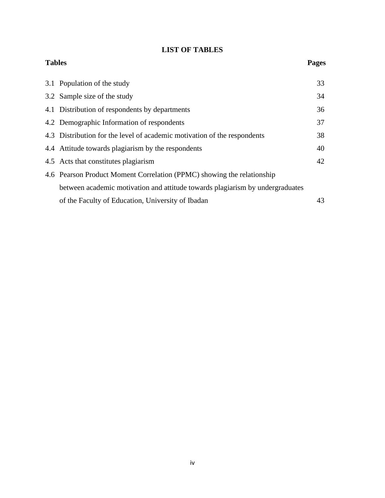# **LIST OF TABLES**

| <b>Tables</b> |                                                                               | <b>Pages</b> |
|---------------|-------------------------------------------------------------------------------|--------------|
|               | 3.1 Population of the study                                                   | 33           |
|               | 3.2 Sample size of the study                                                  | 34           |
|               | 4.1 Distribution of respondents by departments                                | 36           |
|               | 4.2 Demographic Information of respondents                                    | 37           |
|               | 4.3 Distribution for the level of academic motivation of the respondents      | 38           |
|               | 4.4 Attitude towards plagiarism by the respondents                            | 40           |
|               | 4.5 Acts that constitutes plagiarism                                          | 42           |
|               | 4.6 Pearson Product Moment Correlation (PPMC) showing the relationship        |              |
|               | between academic motivation and attitude towards plagiarism by undergraduates |              |
|               | of the Faculty of Education, University of Ibadan                             | 43           |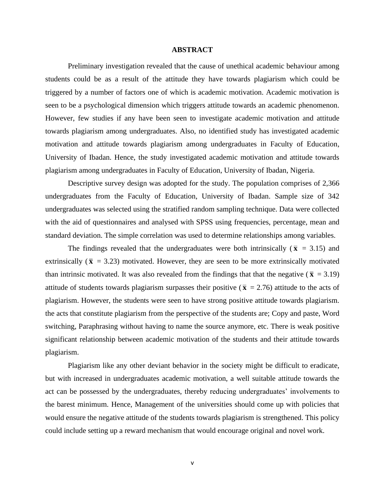#### **ABSTRACT**

Preliminary investigation revealed that the cause of unethical academic behaviour among students could be as a result of the attitude they have towards plagiarism which could be triggered by a number of factors one of which is academic motivation. Academic motivation is seen to be a psychological dimension which triggers attitude towards an academic phenomenon. However, few studies if any have been seen to investigate academic motivation and attitude towards plagiarism among undergraduates. Also, no identified study has investigated academic motivation and attitude towards plagiarism among undergraduates in Faculty of Education, University of Ibadan. Hence, the study investigated academic motivation and attitude towards plagiarism among undergraduates in Faculty of Education, University of Ibadan, Nigeria.

Descriptive survey design was adopted for the study. The population comprises of 2,366 undergraduates from the Faculty of Education, University of Ibadan. Sample size of 342 undergraduates was selected using the stratified random sampling technique. Data were collected with the aid of questionnaires and analysed with SPSS using frequencies, percentage, mean and standard deviation. The simple correlation was used to determine relationships among variables.

The findings revealed that the undergraduates were both intrinsically ( $\bar{x}$  = 3.15) and extrinsically ( $\bar{x}$  = 3.23) motivated. However, they are seen to be more extrinsically motivated than intrinsic motivated. It was also revealed from the findings that that the negative ( $\bar{x}$  = 3.19) attitude of students towards plagiarism surpasses their positive ( $\bar{x}$  = 2.76) attitude to the acts of plagiarism. However, the students were seen to have strong positive attitude towards plagiarism. the acts that constitute plagiarism from the perspective of the students are; Copy and paste, Word switching, Paraphrasing without having to name the source anymore, etc. There is weak positive significant relationship between academic motivation of the students and their attitude towards plagiarism.

Plagiarism like any other deviant behavior in the society might be difficult to eradicate, but with increased in undergraduates academic motivation, a well suitable attitude towards the act can be possessed by the undergraduates, thereby reducing undergraduates' involvements to the barest minimum. Hence, Management of the universities should come up with policies that would ensure the negative attitude of the students towards plagiarism is strengthened. This policy could include setting up a reward mechanism that would encourage original and novel work.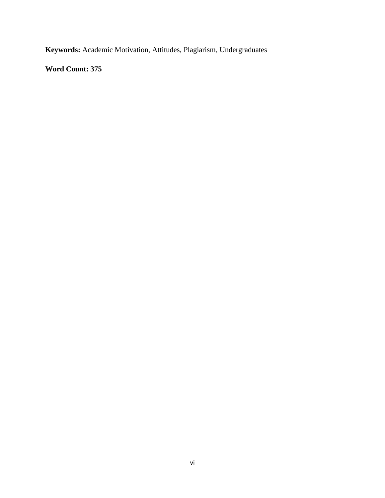**Keywords:** Academic Motivation, Attitudes, Plagiarism, Undergraduates

**Word Count: 375**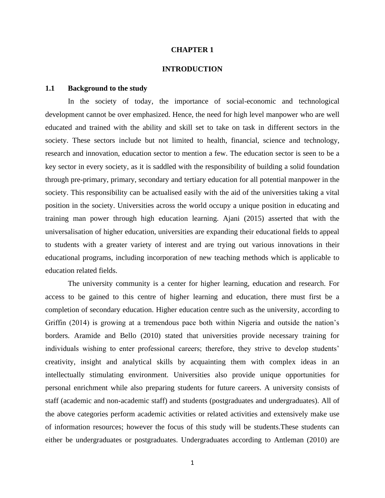#### **CHAPTER 1**

# **INTRODUCTION**

#### **1.1 Background to the study**

In the society of today, the importance of social-economic and technological development cannot be over emphasized. Hence, the need for high level manpower who are well educated and trained with the ability and skill set to take on task in different sectors in the society. These sectors include but not limited to health, financial, science and technology, research and innovation, education sector to mention a few. The education sector is seen to be a key sector in every society, as it is saddled with the responsibility of building a solid foundation through pre-primary, primary, secondary and tertiary education for all potential manpower in the society. This responsibility can be actualised easily with the aid of the universities taking a vital position in the society. Universities across the world occupy a unique position in educating and training man power through high education learning. Ajani (2015) asserted that with the universalisation of higher education, universities are expanding their educational fields to appeal to students with a greater variety of interest and are trying out various innovations in their educational programs, including incorporation of new teaching methods which is applicable to education related fields.

The university community is a center for higher learning, education and research. For access to be gained to this centre of higher learning and education, there must first be a completion of secondary education. Higher education centre such as the university, according to Griffin (2014) is growing at a tremendous pace both within Nigeria and outside the nation's borders. Aramide and Bello (2010) stated that universities provide necessary training for individuals wishing to enter professional careers; therefore, they strive to develop students' creativity, insight and analytical skills by acquainting them with complex ideas in an intellectually stimulating environment. Universities also provide unique opportunities for personal enrichment while also preparing students for future careers. A university consists of staff (academic and non-academic staff) and students (postgraduates and undergraduates). All of the above categories perform academic activities or related activities and extensively make use of information resources; however the focus of this study will be students.These students can either be undergraduates or postgraduates. Undergraduates according to Antleman (2010) are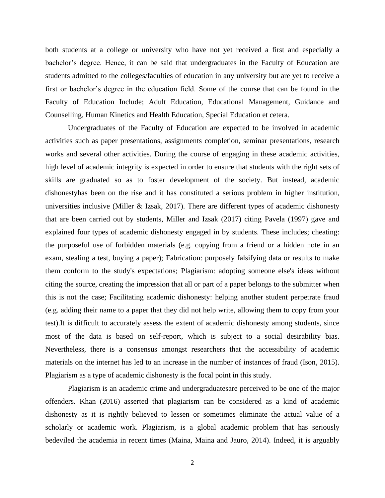both students at a college or university who have not yet received a first and especially a bachelor's degree. Hence, it can be said that undergraduates in the Faculty of Education are students admitted to the colleges/faculties of education in any university but are yet to receive a first or bachelor's degree in the education field. Some of the course that can be found in the Faculty of Education Include; Adult Education, Educational Management, Guidance and Counselling, Human Kinetics and Health Education, Special Education et cetera.

Undergraduates of the Faculty of Education are expected to be involved in academic activities such as paper presentations, assignments completion, seminar presentations, research works and several other activities. During the course of engaging in these academic activities, high level of academic integrity is expected in order to ensure that students with the right sets of skills are graduated so as to foster development of the society. But instead, academic dishonestyhas been on the rise and it has constituted a serious problem in higher institution, universities inclusive (Miller & Izsak, 2017). There are different types of academic dishonesty that are been carried out by students, Miller and Izsak (2017) citing Pavela (1997) gave and explained four types of academic dishonesty engaged in by students. These includes; cheating: the purposeful use of forbidden materials (e.g. copying from a friend or a hidden note in an exam, stealing a test, buying a paper); Fabrication: purposely falsifying data or results to make them conform to the study's expectations; Plagiarism: adopting someone else's ideas without citing the source, creating the impression that all or part of a paper belongs to the submitter when this is not the case; Facilitating academic dishonesty: helping another student perpetrate fraud (e.g. adding their name to a paper that they did not help write, allowing them to copy from your test).It is difficult to accurately assess the extent of academic dishonesty among students, since most of the data is based on self-report, which is subject to a social desirability bias. Nevertheless, there is a consensus amongst researchers that the accessibility of academic materials on the internet has led to an increase in the number of instances of fraud (Ison, 2015). Plagiarism as a type of academic dishonesty is the focal point in this study.

Plagiarism is an academic crime and undergraduatesare perceived to be one of the major offenders. Khan (2016) asserted that plagiarism can be considered as a kind of academic dishonesty as it is rightly believed to lessen or sometimes eliminate the actual value of a scholarly or academic work. Plagiarism, is a global academic problem that has seriously bedeviled the academia in recent times (Maina, Maina and Jauro, 2014). Indeed, it is arguably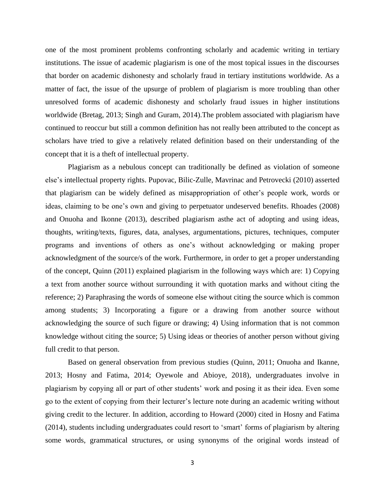one of the most prominent problems confronting scholarly and academic writing in tertiary institutions. The issue of academic plagiarism is one of the most topical issues in the discourses that border on academic dishonesty and scholarly fraud in tertiary institutions worldwide. As a matter of fact, the issue of the upsurge of problem of plagiarism is more troubling than other unresolved forms of academic dishonesty and scholarly fraud issues in higher institutions worldwide (Bretag, 2013; Singh and Guram, 2014).The problem associated with plagiarism have continued to reoccur but still a common definition has not really been attributed to the concept as scholars have tried to give a relatively related definition based on their understanding of the concept that it is a theft of intellectual property.

Plagiarism as a nebulous concept can traditionally be defined as violation of someone else's intellectual property rights. Pupovac, Bilic-Zulle, Mavrinac and Petrovecki (2010) asserted that plagiarism can be widely defined as misappropriation of other's people work, words or ideas, claiming to be one's own and giving to perpetuator undeserved benefits. Rhoades (2008) and Onuoha and Ikonne (2013), described plagiarism asthe act of adopting and using ideas, thoughts, writing/texts, figures, data, analyses, argumentations, pictures, techniques, computer programs and inventions of others as one's without acknowledging or making proper acknowledgment of the source/s of the work. Furthermore, in order to get a proper understanding of the concept, Quinn (2011) explained plagiarism in the following ways which are: 1) Copying a text from another source without surrounding it with quotation marks and without citing the reference; 2) Paraphrasing the words of someone else without citing the source which is common among students; 3) Incorporating a figure or a drawing from another source without acknowledging the source of such figure or drawing; 4) Using information that is not common knowledge without citing the source; 5) Using ideas or theories of another person without giving full credit to that person.

Based on general observation from previous studies (Quinn, 2011; Onuoha and Ikanne, 2013; Hosny and Fatima, 2014; Oyewole and Abioye, 2018), undergraduates involve in plagiarism by copying all or part of other students' work and posing it as their idea. Even some go to the extent of copying from their lecturer's lecture note during an academic writing without giving credit to the lecturer. In addition, according to Howard (2000) cited in Hosny and Fatima (2014), students including undergraduates could resort to 'smart' forms of plagiarism by altering some words, grammatical structures, or using synonyms of the original words instead of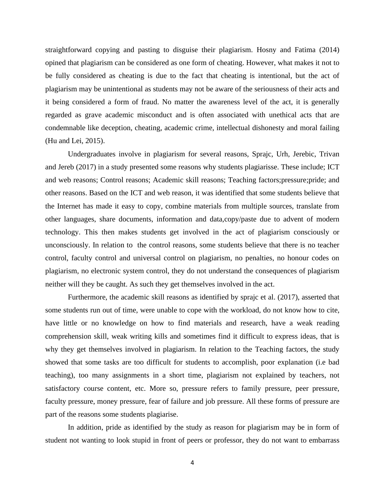straightforward copying and pasting to disguise their plagiarism. Hosny and Fatima (2014) opined that plagiarism can be considered as one form of cheating. However, what makes it not to be fully considered as cheating is due to the fact that cheating is intentional, but the act of plagiarism may be unintentional as students may not be aware of the seriousness of their acts and it being considered a form of fraud. No matter the awareness level of the act, it is generally regarded as grave academic misconduct and is often associated with unethical acts that are condemnable like deception, cheating, academic crime, intellectual dishonesty and moral failing (Hu and Lei, 2015).

Undergraduates involve in plagiarism for several reasons, Sprajc, Urh, Jerebic, Trivan and Jereb (2017) in a study presented some reasons why students plagiarisse. These include; ICT and web reasons; Control reasons; Academic skill reasons; Teaching factors;pressure;pride; and other reasons. Based on the ICT and web reason, it was identified that some students believe that the Internet has made it easy to copy, combine materials from multiple sources, translate from other languages, share documents, information and data,copy/paste due to advent of modern technology. This then makes students get involved in the act of plagiarism consciously or unconsciously. In relation to the control reasons, some students believe that there is no teacher control, faculty control and universal control on plagiarism, no penalties, no honour codes on plagiarism, no electronic system control, they do not understand the consequences of plagiarism neither will they be caught. As such they get themselves involved in the act.

Furthermore, the academic skill reasons as identified by sprajc et al. (2017), asserted that some students run out of time, were unable to cope with the workload, do not know how to cite, have little or no knowledge on how to find materials and research, have a weak reading comprehension skill, weak writing kills and sometimes find it difficult to express ideas, that is why they get themselves involved in plagiarism. In relation to the Teaching factors, the study showed that some tasks are too difficult for students to accomplish, poor explanation (i.e bad teaching), too many assignments in a short time, plagiarism not explained by teachers, not satisfactory course content, etc. More so, pressure refers to family pressure, peer pressure, faculty pressure, money pressure, fear of failure and job pressure. All these forms of pressure are part of the reasons some students plagiarise.

In addition, pride as identified by the study as reason for plagiarism may be in form of student not wanting to look stupid in front of peers or professor, they do not want to embarrass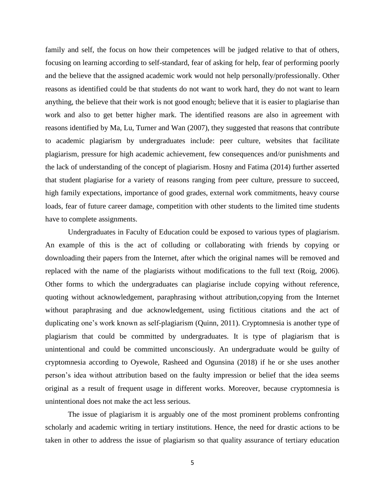family and self, the focus on how their competences will be judged relative to that of others, focusing on learning according to self-standard, fear of asking for help, fear of performing poorly and the believe that the assigned academic work would not help personally/professionally. Other reasons as identified could be that students do not want to work hard, they do not want to learn anything, the believe that their work is not good enough; believe that it is easier to plagiarise than work and also to get better higher mark. The identified reasons are also in agreement with reasons identified by Ma, Lu, Turner and Wan (2007), they suggested that reasons that contribute to academic plagiarism by undergraduates include: peer culture, websites that facilitate plagiarism, pressure for high academic achievement, few consequences and/or punishments and the lack of understanding of the concept of plagiarism. Hosny and Fatima (2014) further asserted that student plagiarise for a variety of reasons ranging from peer culture, pressure to succeed, high family expectations, importance of good grades, external work commitments, heavy course loads, fear of future career damage, competition with other students to the limited time students have to complete assignments.

Undergraduates in Faculty of Education could be exposed to various types of plagiarism. An example of this is the act of colluding or collaborating with friends by copying or downloading their papers from the Internet, after which the original names will be removed and replaced with the name of the plagiarists without modifications to the full text (Roig, 2006). Other forms to which the undergraduates can plagiarise include copying without reference, quoting without acknowledgement, paraphrasing without attribution,copying from the Internet without paraphrasing and due acknowledgement, using fictitious citations and the act of duplicating one's work known as self-plagiarism (Quinn, 2011). Cryptomnesia is another type of plagiarism that could be committed by undergraduates. It is type of plagiarism that is unintentional and could be committed unconsciously. An undergraduate would be guilty of cryptomnesia according to Oyewole, Rasheed and Ogunsina (2018) if he or she uses another person's idea without attribution based on the faulty impression or belief that the idea seems original as a result of frequent usage in different works. Moreover, because cryptomnesia is unintentional does not make the act less serious.

The issue of plagiarism it is arguably one of the most prominent problems confronting scholarly and academic writing in tertiary institutions. Hence, the need for drastic actions to be taken in other to address the issue of plagiarism so that quality assurance of tertiary education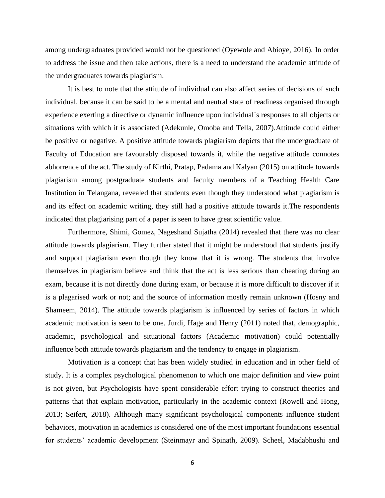among undergraduates provided would not be questioned (Oyewole and Abioye, 2016). In order to address the issue and then take actions, there is a need to understand the academic attitude of the undergraduates towards plagiarism.

It is best to note that the attitude of individual can also affect series of decisions of such individual, because it can be said to be a mental and neutral state of readiness organised through experience exerting a directive or dynamic influence upon individual`s responses to all objects or situations with which it is associated (Adekunle, Omoba and Tella, 2007).Attitude could either be positive or negative. A positive attitude towards plagiarism depicts that the undergraduate of Faculty of Education are favourably disposed towards it, while the negative attitude connotes abhorrence of the act. The study of Kirthi, Pratap, Padama and Kalyan (2015) on attitude towards plagiarism among postgraduate students and faculty members of a Teaching Health Care Institution in Telangana, revealed that students even though they understood what plagiarism is and its effect on academic writing, they still had a positive attitude towards it.The respondents indicated that plagiarising part of a paper is seen to have great scientific value.

Furthermore, Shimi, Gomez, Nageshand Sujatha (2014) revealed that there was no clear attitude towards plagiarism. They further stated that it might be understood that students justify and support plagiarism even though they know that it is wrong. The students that involve themselves in plagiarism believe and think that the act is less serious than cheating during an exam, because it is not directly done during exam, or because it is more difficult to discover if it is a plagarised work or not; and the source of information mostly remain unknown (Hosny and Shameem, 2014). The attitude towards plagiarism is influenced by series of factors in which academic motivation is seen to be one. Jurdi, Hage and Henry (2011) noted that, demographic, academic, psychological and situational factors (Academic motivation) could potentially influence both attitude towards plagiarism and the tendency to engage in plagiarism.

Motivation is a concept that has been widely studied in education and in other field of study. It is a complex psychological phenomenon to which one major definition and view point is not given, but Psychologists have spent considerable effort trying to construct theories and patterns that that explain motivation, particularly in the academic context (Rowell and Hong, 2013; Seifert, 2018). Although many significant psychological components influence student behaviors, motivation in academics is considered one of the most important foundations essential for students' academic development (Steinmayr and Spinath, 2009). Scheel, Madabhushi and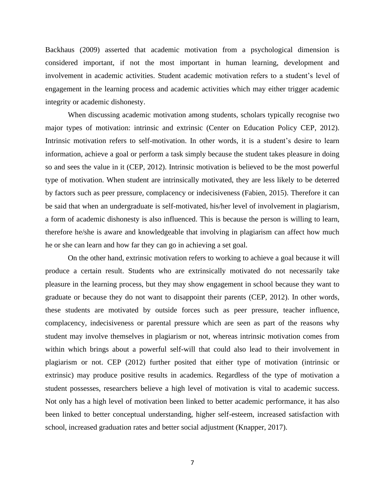Backhaus (2009) asserted that academic motivation from a psychological dimension is considered important, if not the most important in human learning, development and involvement in academic activities. Student academic motivation refers to a student's level of engagement in the learning process and academic activities which may either trigger academic integrity or academic dishonesty.

When discussing academic motivation among students, scholars typically recognise two major types of motivation: intrinsic and extrinsic (Center on Education Policy CEP, 2012). Intrinsic motivation refers to self-motivation. In other words, it is a student's desire to learn information, achieve a goal or perform a task simply because the student takes pleasure in doing so and sees the value in it (CEP, 2012). Intrinsic motivation is believed to be the most powerful type of motivation. When student are intrinsically motivated, they are less likely to be deterred by factors such as peer pressure, complacency or indecisiveness (Fabien, 2015). Therefore it can be said that when an undergraduate is self-motivated, his/her level of involvement in plagiarism, a form of academic dishonesty is also influenced. This is because the person is willing to learn, therefore he/she is aware and knowledgeable that involving in plagiarism can affect how much he or she can learn and how far they can go in achieving a set goal.

On the other hand, extrinsic motivation refers to working to achieve a goal because it will produce a certain result. Students who are extrinsically motivated do not necessarily take pleasure in the learning process, but they may show engagement in school because they want to graduate or because they do not want to disappoint their parents (CEP, 2012). In other words, these students are motivated by outside forces such as peer pressure, teacher influence, complacency, indecisiveness or parental pressure which are seen as part of the reasons why student may involve themselves in plagiarism or not, whereas intrinsic motivation comes from within which brings about a powerful self-will that could also lead to their involvement in plagiarism or not. CEP (2012) further posited that either type of motivation (intrinsic or extrinsic) may produce positive results in academics. Regardless of the type of motivation a student possesses, researchers believe a high level of motivation is vital to academic success. Not only has a high level of motivation been linked to better academic performance, it has also been linked to better conceptual understanding, higher self-esteem, increased satisfaction with school, increased graduation rates and better social adjustment (Knapper, 2017).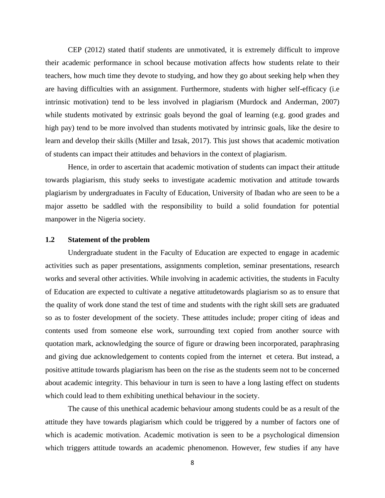CEP (2012) stated thatif students are unmotivated, it is extremely difficult to improve their academic performance in school because motivation affects how students relate to their teachers, how much time they devote to studying, and how they go about seeking help when they are having difficulties with an assignment. Furthermore, students with higher self-efficacy (i.e intrinsic motivation) tend to be less involved in plagiarism (Murdock and Anderman, 2007) while students motivated by extrinsic goals beyond the goal of learning (e.g. good grades and high pay) tend to be more involved than students motivated by intrinsic goals, like the desire to learn and develop their skills (Miller and Izsak, 2017). This just shows that academic motivation of students can impact their attitudes and behaviors in the context of plagiarism.

Hence, in order to ascertain that academic motivation of students can impact their attitude towards plagiarism, this study seeks to investigate academic motivation and attitude towards plagiarism by undergraduates in Faculty of Education, University of Ibadan who are seen to be a major assetto be saddled with the responsibility to build a solid foundation for potential manpower in the Nigeria society.

# **1.2 Statement of the problem**

Undergraduate student in the Faculty of Education are expected to engage in academic activities such as paper presentations, assignments completion, seminar presentations, research works and several other activities. While involving in academic activities, the students in Faculty of Education are expected to cultivate a negative attitudetowards plagiarism so as to ensure that the quality of work done stand the test of time and students with the right skill sets are graduated so as to foster development of the society. These attitudes include; proper citing of ideas and contents used from someone else work, surrounding text copied from another source with quotation mark, acknowledging the source of figure or drawing been incorporated, paraphrasing and giving due acknowledgement to contents copied from the internet et cetera. But instead, a positive attitude towards plagiarism has been on the rise as the students seem not to be concerned about academic integrity. This behaviour in turn is seen to have a long lasting effect on students which could lead to them exhibiting unethical behaviour in the society.

The cause of this unethical academic behaviour among students could be as a result of the attitude they have towards plagiarism which could be triggered by a number of factors one of which is academic motivation. Academic motivation is seen to be a psychological dimension which triggers attitude towards an academic phenomenon. However, few studies if any have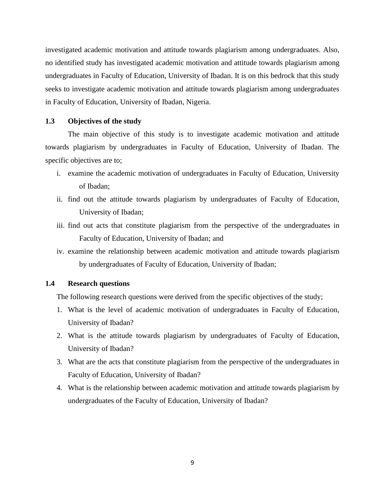investigated academic motivation and attitude towards plagiarism among undergraduates. Also, no identified study has investigated academic motivation and attitude towards plagiarism among undergraduates in Faculty of Education, University of Ibadan. It is on this bedrock that this study seeks to investigate academic motivation and attitude towards plagiarism among undergraduates in Faculty of Education, University of Ibadan, Nigeria.

## **1.3 Objectives of the study**

The main objective of this study is to investigate academic motivation and attitude towards plagiarism by undergraduates in Faculty of Education, University of Ibadan. The specific objectives are to;

- i. examine the academic motivation of undergraduates in Faculty of Education, University of Ibadan;
- ii. find out the attitude towards plagiarism by undergraduates of Faculty of Education, University of Ibadan;
- iii. find out acts that constitute plagiarism from the perspective of the undergraduates in Faculty of Education, University of Ibadan; and
- iv. examine the relationship between academic motivation and attitude towards plagiarism by undergraduates of Faculty of Education, University of Ibadan;

# **1.4 Research questions**

The following research questions were derived from the specific objectives of the study;

- 1. What is the level of academic motivation of undergraduates in Faculty of Education, University of Ibadan?
- 2. What is the attitude towards plagiarism by undergraduates of Faculty of Education, University of Ibadan?
- 3. What are the acts that constitute plagiarism from the perspective of the undergraduates in Faculty of Education, University of Ibadan?
- 4. What is the relationship between academic motivation and attitude towards plagiarism by undergraduates of the Faculty of Education, University of Ibadan?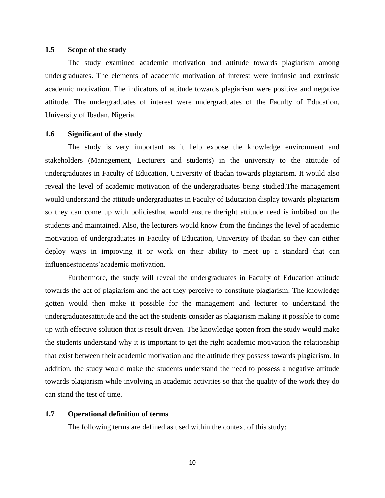#### **1.5 Scope of the study**

The study examined academic motivation and attitude towards plagiarism among undergraduates. The elements of academic motivation of interest were intrinsic and extrinsic academic motivation. The indicators of attitude towards plagiarism were positive and negative attitude. The undergraduates of interest were undergraduates of the Faculty of Education, University of Ibadan, Nigeria.

### **1.6 Significant of the study**

The study is very important as it help expose the knowledge environment and stakeholders (Management, Lecturers and students) in the university to the attitude of undergraduates in Faculty of Education, University of Ibadan towards plagiarism. It would also reveal the level of academic motivation of the undergraduates being studied.The management would understand the attitude undergraduates in Faculty of Education display towards plagiarism so they can come up with policiesthat would ensure theright attitude need is imbibed on the students and maintained. Also, the lecturers would know from the findings the level of academic motivation of undergraduates in Faculty of Education, University of Ibadan so they can either deploy ways in improving it or work on their ability to meet up a standard that can influencestudents'academic motivation.

Furthermore, the study will reveal the undergraduates in Faculty of Education attitude towards the act of plagiarism and the act they perceive to constitute plagiarism. The knowledge gotten would then make it possible for the management and lecturer to understand the undergraduatesattitude and the act the students consider as plagiarism making it possible to come up with effective solution that is result driven. The knowledge gotten from the study would make the students understand why it is important to get the right academic motivation the relationship that exist between their academic motivation and the attitude they possess towards plagiarism. In addition, the study would make the students understand the need to possess a negative attitude towards plagiarism while involving in academic activities so that the quality of the work they do can stand the test of time.

#### **1.7 Operational definition of terms**

The following terms are defined as used within the context of this study: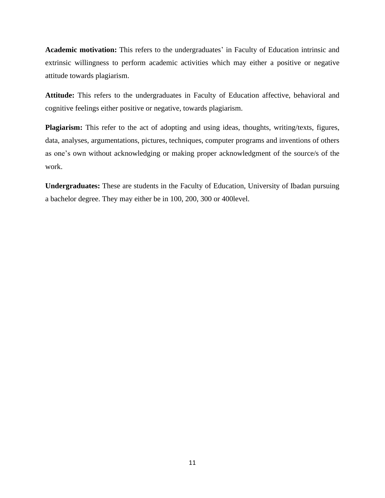**Academic motivation:** This refers to the undergraduates' in Faculty of Education intrinsic and extrinsic willingness to perform academic activities which may either a positive or negative attitude towards plagiarism.

**Attitude:** This refers to the undergraduates in Faculty of Education affective, behavioral and cognitive feelings either positive or negative, towards plagiarism.

**Plagiarism:** This refer to the act of adopting and using ideas, thoughts, writing/texts, figures, data, analyses, argumentations, pictures, techniques, computer programs and inventions of others as one's own without acknowledging or making proper acknowledgment of the source/s of the work.

**Undergraduates:** These are students in the Faculty of Education, University of Ibadan pursuing a bachelor degree. They may either be in 100, 200, 300 or 400level.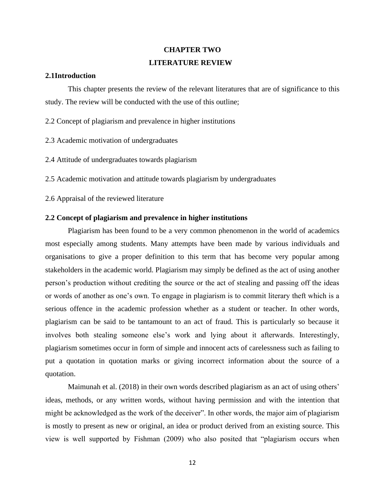# **CHAPTER TWO LITERATURE REVIEW**

### **2.1Introduction**

This chapter presents the review of the relevant literatures that are of significance to this study. The review will be conducted with the use of this outline;

2.2 Concept of plagiarism and prevalence in higher institutions

- 2.3 Academic motivation of undergraduates
- 2.4 Attitude of undergraduates towards plagiarism

2.5 Academic motivation and attitude towards plagiarism by undergraduates

2.6 Appraisal of the reviewed literature

## **2.2 Concept of plagiarism and prevalence in higher institutions**

Plagiarism has been found to be a very common phenomenon in the world of academics most especially among students. Many attempts have been made by various individuals and organisations to give a proper definition to this term that has become very popular among stakeholders in the academic world. Plagiarism may simply be defined as the act of using another person's production without crediting the source or the act of stealing and passing off the ideas or words of another as one's own. To engage in plagiarism is to commit literary theft which is a serious offence in the academic profession whether as a student or teacher. In other words, plagiarism can be said to be tantamount to an act of fraud. This is particularly so because it involves both stealing someone else's work and lying about it afterwards. Interestingly, plagiarism sometimes occur in form of simple and innocent acts of carelessness such as failing to put a quotation in quotation marks or giving incorrect information about the source of a quotation.

Maimunah et al. (2018) in their own words described plagiarism as an act of using others' ideas, methods, or any written words, without having permission and with the intention that might be acknowledged as the work of the deceiver". In other words, the major aim of plagiarism is mostly to present as new or original, an idea or product derived from an existing source. This view is well supported by Fishman (2009) who also posited that "plagiarism occurs when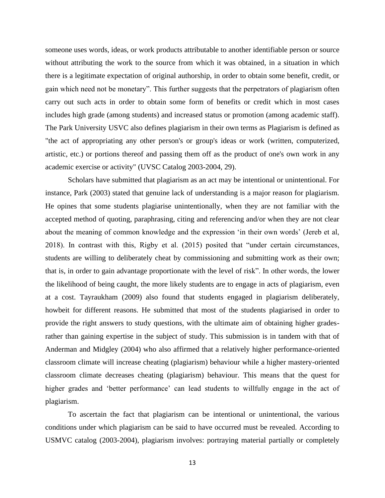someone uses words, ideas, or work products attributable to another identifiable person or source without attributing the work to the source from which it was obtained, in a situation in which there is a legitimate expectation of original authorship, in order to obtain some benefit, credit, or gain which need not be monetary". This further suggests that the perpetrators of plagiarism often carry out such acts in order to obtain some form of benefits or credit which in most cases includes high grade (among students) and increased status or promotion (among academic staff). The Park University USVC also defines plagiarism in their own terms as Plagiarism is defined as "the act of appropriating any other person's or group's ideas or work (written, computerized, artistic, etc.) or portions thereof and passing them off as the product of one's own work in any academic exercise or activity" (UVSC Catalog 2003-2004, 29).

Scholars have submitted that plagiarism as an act may be intentional or unintentional. For instance, Park (2003) stated that genuine lack of understanding is a major reason for plagiarism. He opines that some students plagiarise unintentionally, when they are not familiar with the accepted method of quoting, paraphrasing, citing and referencing and/or when they are not clear about the meaning of common knowledge and the expression 'in their own words' (Jereb et al, 2018). In contrast with this, Rigby et al. (2015) posited that "under certain circumstances, students are willing to deliberately cheat by commissioning and submitting work as their own; that is, in order to gain advantage proportionate with the level of risk". In other words, the lower the likelihood of being caught, the more likely students are to engage in acts of plagiarism, even at a cost. Tayraukham (2009) also found that students engaged in plagiarism deliberately, howbeit for different reasons. He submitted that most of the students plagiarised in order to provide the right answers to study questions, with the ultimate aim of obtaining higher gradesrather than gaining expertise in the subject of study. This submission is in tandem with that of Anderman and Midgley (2004) who also affirmed that a relatively higher performance-oriented classroom climate will increase cheating (plagiarism) behaviour while a higher mastery-oriented classroom climate decreases cheating (plagiarism) behaviour. This means that the quest for higher grades and 'better performance' can lead students to willfully engage in the act of plagiarism.

To ascertain the fact that plagiarism can be intentional or unintentional, the various conditions under which plagiarism can be said to have occurred must be revealed. According to USMVC catalog (2003-2004), plagiarism involves: portraying material partially or completely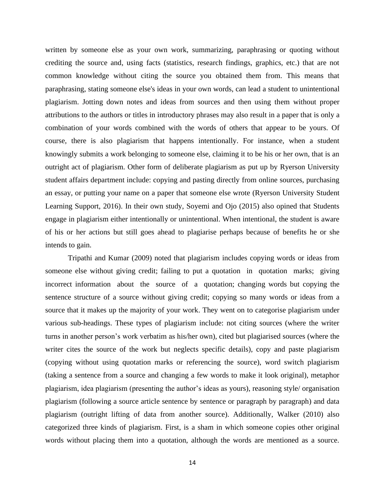written by someone else as your own work, summarizing, paraphrasing or quoting without crediting the source and, using facts (statistics, research findings, graphics, etc.) that are not common knowledge without citing the source you obtained them from. This means that paraphrasing, stating someone else's ideas in your own words, can lead a student to unintentional plagiarism. Jotting down notes and ideas from sources and then using them without proper attributions to the authors or titles in introductory phrases may also result in a paper that is only a combination of your words combined with the words of others that appear to be yours. Of course, there is also plagiarism that happens intentionally. For instance, when a student knowingly submits a work belonging to someone else, claiming it to be his or her own, that is an outright act of plagiarism. Other form of deliberate plagiarism as put up by Ryerson University student affairs department include: copying and pasting directly from online sources, purchasing an essay, or putting your name on a paper that someone else wrote (Ryerson University Student Learning Support, 2016). In their own study, Soyemi and Ojo (2015) also opined that Students engage in plagiarism either intentionally or unintentional. When intentional, the student is aware of his or her actions but still goes ahead to plagiarise perhaps because of benefits he or she intends to gain.

Tripathi and Kumar (2009) noted that plagiarism includes copying words or ideas from someone else without giving credit; failing to put a quotation in quotation marks; giving incorrect information about the source of a quotation; changing words but copying the sentence structure of a source without giving credit; copying so many words or ideas from a source that it makes up the majority of your work. They went on to categorise plagiarism under various sub-headings. These types of plagiarism include: not citing sources (where the writer turns in another person's work verbatim as his/her own), cited but plagiarised sources (where the writer cites the source of the work but neglects specific details), copy and paste plagiarism (copying without using quotation marks or referencing the source), word switch plagiarism (taking a sentence from a source and changing a few words to make it look original), metaphor plagiarism, idea plagiarism (presenting the author's ideas as yours), reasoning style/ organisation plagiarism (following a source article sentence by sentence or paragraph by paragraph) and data plagiarism (outright lifting of data from another source). Additionally, Walker (2010) also categorized three kinds of plagiarism. First, is a sham in which someone copies other original words without placing them into a quotation, although the words are mentioned as a source.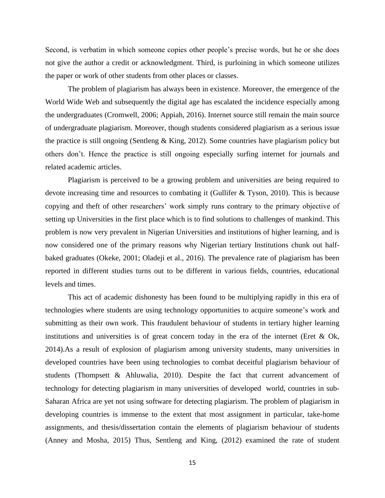Second, is verbatim in which someone copies other people's precise words, but he or she does not give the author a credit or acknowledgment. Third, is purloining in which someone utilizes the paper or work of other students from other places or classes.

The problem of plagiarism has always been in existence. Moreover, the emergence of the World Wide Web and subsequently the digital age has escalated the incidence especially among the undergraduates (Cromwell, 2006; Appiah, 2016). Internet source still remain the main source of undergraduate plagiarism. Moreover, though students considered plagiarism as a serious issue the practice is still ongoing (Sentleng  $\&$  King, 2012). Some countries have plagiarism policy but others don't. Hence the practice is still ongoing especially surfing internet for journals and related academic articles.

Plagiarism is perceived to be a growing problem and universities are being required to devote increasing time and resources to combating it (Gullifer & Tyson, 2010). This is because copying and theft of other researchers' work simply runs contrary to the primary objective of setting up Universities in the first place which is to find solutions to challenges of mankind. This problem is now very prevalent in Nigerian Universities and institutions of higher learning, and is now considered one of the primary reasons why Nigerian tertiary Institutions chunk out halfbaked graduates (Okeke, 2001; Oladeji et al., 2016). The prevalence rate of plagiarism has been reported in different studies turns out to be different in various fields, countries, educational levels and times.

This act of academic dishonesty has been found to be multiplying rapidly in this era of technologies where students are using technology opportunities to acquire someone's work and submitting as their own work. This fraudulent behaviour of students in tertiary higher learning institutions and universities is of great concern today in the era of the internet (Eret  $\&$  Ok, 2014).As a result of explosion of plagiarism among university students, many universities in developed countries have been using technologies to combat deceitful plagiarism behaviour of students (Thompsett & Ahluwalia, 2010). Despite the fact that current advancement of technology for detecting plagiarism in many universities of developed world, countries in sub-Saharan Africa are yet not using software for detecting plagiarism. The problem of plagiarism in developing countries is immense to the extent that most assignment in particular, take-home assignments, and thesis/dissertation contain the elements of plagiarism behaviour of students (Anney and Mosha, 2015) Thus, Sentleng and King, (2012) examined the rate of student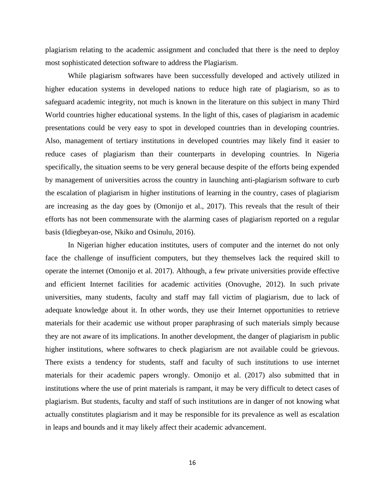plagiarism relating to the academic assignment and concluded that there is the need to deploy most sophisticated detection software to address the Plagiarism.

While plagiarism softwares have been successfully developed and actively utilized in higher education systems in developed nations to reduce high rate of plagiarism, so as to safeguard academic integrity, not much is known in the literature on this subject in many Third World countries higher educational systems. In the light of this, cases of plagiarism in academic presentations could be very easy to spot in developed countries than in developing countries. Also, management of tertiary institutions in developed countries may likely find it easier to reduce cases of plagiarism than their counterparts in developing countries. In Nigeria specifically, the situation seems to be very general because despite of the efforts being expended by management of universities across the country in launching anti-plagiarism software to curb the escalation of plagiarism in higher institutions of learning in the country, cases of plagiarism are increasing as the day goes by (Omonijo et al., 2017). This reveals that the result of their efforts has not been commensurate with the alarming cases of plagiarism reported on a regular basis (Idiegbeyan-ose, Nkiko and Osinulu, 2016).

In Nigerian higher education institutes, users of computer and the internet do not only face the challenge of insufficient computers, but they themselves lack the required skill to operate the internet (Omonijo et al. 2017). Although, a few private universities provide effective and efficient Internet facilities for academic activities (Onovughe, 2012). In such private universities, many students, faculty and staff may fall victim of plagiarism, due to lack of adequate knowledge about it. In other words, they use their Internet opportunities to retrieve materials for their academic use without proper paraphrasing of such materials simply because they are not aware of its implications. In another development, the danger of plagiarism in public higher institutions, where softwares to check plagiarism are not available could be grievous. There exists a tendency for students, staff and faculty of such institutions to use internet materials for their academic papers wrongly. Omonijo et al. (2017) also submitted that in institutions where the use of print materials is rampant, it may be very difficult to detect cases of plagiarism. But students, faculty and staff of such institutions are in danger of not knowing what actually constitutes plagiarism and it may be responsible for its prevalence as well as escalation in leaps and bounds and it may likely affect their academic advancement.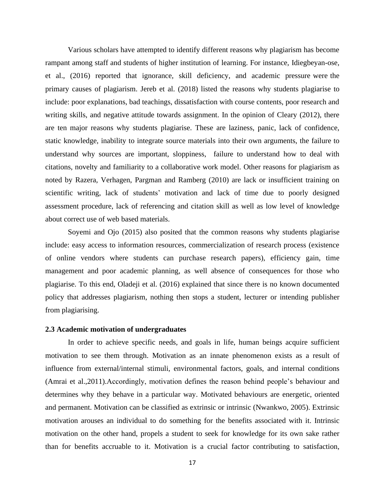Various scholars have attempted to identify different reasons why plagiarism has become rampant among staff and students of higher institution of learning. For instance, Idiegbeyan-ose, et al., (2016) reported that ignorance, skill deficiency, and academic pressure were the primary causes of plagiarism. Jereb et al. (2018) listed the reasons why students plagiarise to include: poor explanations, bad teachings, dissatisfaction with course contents, poor research and writing skills, and negative attitude towards assignment. In the opinion of Cleary (2012), there are ten major reasons why students plagiarise. These are laziness, panic, lack of confidence, static knowledge, inability to integrate source materials into their own arguments, the failure to understand why sources are important, sloppiness, failure to understand how to deal with citations, novelty and familiarity to a collaborative work model. Other reasons for plagiarism as noted by Razera, Verhagen, Pargman and Ramberg (2010) are lack or insufficient training on scientific writing, lack of students' motivation and lack of time due to poorly designed assessment procedure, lack of referencing and citation skill as well as low level of knowledge about correct use of web based materials.

Soyemi and Ojo (2015) also posited that the common reasons why students plagiarise include: easy access to information resources, commercialization of research process (existence of online vendors where students can purchase research papers), efficiency gain, time management and poor academic planning, as well absence of consequences for those who plagiarise. To this end, Oladeji et al. (2016) explained that since there is no known documented policy that addresses plagiarism, nothing then stops a student, lecturer or intending publisher from plagiarising.

#### **2.3 Academic motivation of undergraduates**

In order to achieve specific needs, and goals in life, human beings acquire sufficient motivation to see them through. Motivation as an innate phenomenon exists as a result of influence from external/internal stimuli, environmental factors, goals, and internal conditions (Amrai et al.,2011).Accordingly, motivation defines the reason behind people's behaviour and determines why they behave in a particular way. Motivated behaviours are energetic, oriented and permanent. Motivation can be classified as extrinsic or intrinsic (Nwankwo, 2005). Extrinsic motivation arouses an individual to do something for the benefits associated with it. Intrinsic motivation on the other hand, propels a student to seek for knowledge for its own sake rather than for benefits accruable to it. Motivation is a crucial factor contributing to satisfaction,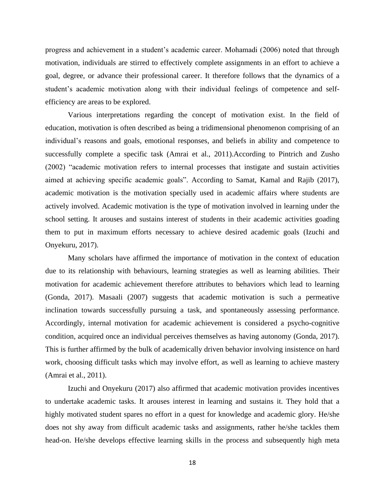progress and achievement in a student's academic career. Mohamadi (2006) noted that through motivation, individuals are stirred to effectively complete assignments in an effort to achieve a goal, degree, or advance their professional career. It therefore follows that the dynamics of a student's academic motivation along with their individual feelings of competence and selfefficiency are areas to be explored.

Various interpretations regarding the concept of motivation exist. In the field of education, motivation is often described as being a tridimensional phenomenon comprising of an individual's reasons and goals, emotional responses, and beliefs in ability and competence to successfully complete a specific task (Amrai et al., 2011).According to Pintrich and Zusho (2002) "academic motivation refers to internal processes that instigate and sustain activities aimed at achieving specific academic goals". According to Samat, Kamal and Rajib (2017), academic motivation is the motivation specially used in academic affairs where students are actively involved. Academic motivation is the type of motivation involved in learning under the school setting. It arouses and sustains interest of students in their academic activities goading them to put in maximum efforts necessary to achieve desired academic goals (Izuchi and Onyekuru, 2017).

Many scholars have affirmed the importance of motivation in the context of education due to its relationship with behaviours, learning strategies as well as learning abilities. Their motivation for academic achievement therefore attributes to behaviors which lead to learning (Gonda, 2017). Masaali (2007) suggests that academic motivation is such a permeative inclination towards successfully pursuing a task, and spontaneously assessing performance. Accordingly, internal motivation for academic achievement is considered a psycho-cognitive condition, acquired once an individual perceives themselves as having autonomy (Gonda, 2017). This is further affirmed by the bulk of academically driven behavior involving insistence on hard work, choosing difficult tasks which may involve effort, as well as learning to achieve mastery (Amrai et al., 2011).

Izuchi and Onyekuru (2017) also affirmed that academic motivation provides incentives to undertake academic tasks. It arouses interest in learning and sustains it. They hold that a highly motivated student spares no effort in a quest for knowledge and academic glory. He/she does not shy away from difficult academic tasks and assignments, rather he/she tackles them head-on. He/she develops effective learning skills in the process and subsequently high meta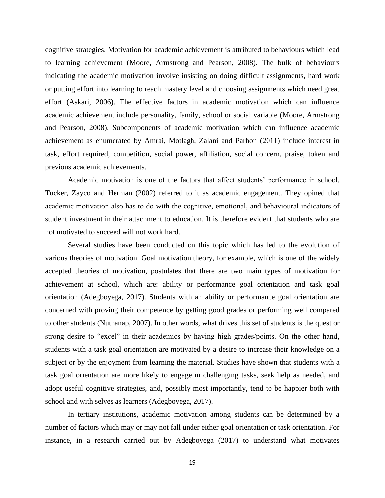cognitive strategies. Motivation for academic achievement is attributed to behaviours which lead to learning achievement (Moore, Armstrong and Pearson, 2008). The bulk of behaviours indicating the academic motivation involve insisting on doing difficult assignments, hard work or putting effort into learning to reach mastery level and choosing assignments which need great effort (Askari, 2006). The effective factors in academic motivation which can influence academic achievement include personality, family, school or social variable (Moore, Armstrong and Pearson, 2008). Subcomponents of academic motivation which can influence academic achievement as enumerated by Amrai, Motlagh, Zalani and Parhon (2011) include interest in task, effort required, competition, social power, affiliation, social concern, praise, token and previous academic achievements.

Academic motivation is one of the factors that affect students' performance in school. Tucker, Zayco and Herman (2002) referred to it as academic engagement. They opined that academic motivation also has to do with the cognitive, emotional, and behavioural indicators of student investment in their attachment to education. It is therefore evident that students who are not motivated to succeed will not work hard.

Several studies have been conducted on this topic which has led to the evolution of various theories of motivation. Goal motivation theory, for example, which is one of the widely accepted theories of motivation, postulates that there are two main types of motivation for achievement at school, which are: ability or performance goal orientation and task goal orientation (Adegboyega, 2017). Students with an ability or performance goal orientation are concerned with proving their competence by getting good grades or performing well compared to other students (Nuthanap, 2007). In other words, what drives this set of students is the quest or strong desire to "excel" in their academics by having high grades/points. On the other hand, students with a task goal orientation are motivated by a desire to increase their knowledge on a subject or by the enjoyment from learning the material. Studies have shown that students with a task goal orientation are more likely to engage in challenging tasks, seek help as needed, and adopt useful cognitive strategies, and, possibly most importantly, tend to be happier both with school and with selves as learners (Adegboyega, 2017).

In tertiary institutions, academic motivation among students can be determined by a number of factors which may or may not fall under either goal orientation or task orientation. For instance, in a research carried out by Adegboyega (2017) to understand what motivates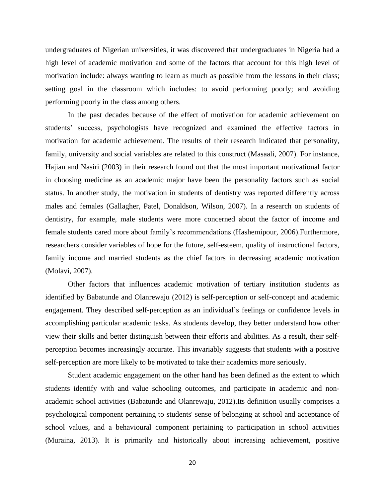undergraduates of Nigerian universities, it was discovered that undergraduates in Nigeria had a high level of academic motivation and some of the factors that account for this high level of motivation include: always wanting to learn as much as possible from the lessons in their class; setting goal in the classroom which includes: to avoid performing poorly; and avoiding performing poorly in the class among others.

In the past decades because of the effect of motivation for academic achievement on students' success, psychologists have recognized and examined the effective factors in motivation for academic achievement. The results of their research indicated that personality, family, university and social variables are related to this construct (Masaali, 2007). For instance, Hajian and Nasiri (2003) in their research found out that the most important motivational factor in choosing medicine as an academic major have been the personality factors such as social status. In another study, the motivation in students of dentistry was reported differently across males and females (Gallagher, Patel, Donaldson, Wilson, 2007). In a research on students of dentistry, for example, male students were more concerned about the factor of income and female students cared more about family's recommendations (Hashemipour, 2006).Furthermore, researchers consider variables of hope for the future, self-esteem, quality of instructional factors, family income and married students as the chief factors in decreasing academic motivation (Molavi, 2007).

Other factors that influences academic motivation of tertiary institution students as identified by Babatunde and Olanrewaju (2012) is self-perception or self-concept and academic engagement. They described self-perception as an individual's feelings or confidence levels in accomplishing particular academic tasks. As students develop, they better understand how other view their skills and better distinguish between their efforts and abilities. As a result, their selfperception becomes increasingly accurate. This invariably suggests that students with a positive self-perception are more likely to be motivated to take their academics more seriously.

Student academic engagement on the other hand has been defined as the extent to which students identify with and value schooling outcomes, and participate in academic and nonacademic school activities (Babatunde and Olanrewaju, 2012).Its definition usually comprises a psychological component pertaining to students' sense of belonging at school and acceptance of school values, and a behavioural component pertaining to participation in school activities (Muraina, 2013). It is primarily and historically about increasing achievement, positive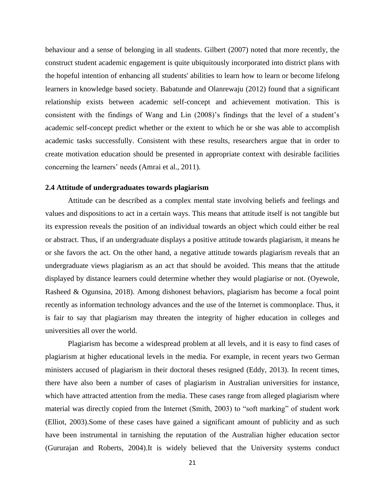behaviour and a sense of belonging in all students. Gilbert (2007) noted that more recently, the construct student academic engagement is quite ubiquitously incorporated into district plans with the hopeful intention of enhancing all students' abilities to learn how to learn or become lifelong learners in knowledge based society. Babatunde and Olanrewaju (2012) found that a significant relationship exists between academic self-concept and achievement motivation. This is consistent with the findings of Wang and Lin (2008)'s findings that the level of a student's academic self-concept predict whether or the extent to which he or she was able to accomplish academic tasks successfully. Consistent with these results, researchers argue that in order to create motivation education should be presented in appropriate context with desirable facilities concerning the learners' needs (Amrai et al., 2011).

## **2.4 Attitude of undergraduates towards plagiarism**

Attitude can be described as a complex mental state involving beliefs and feelings and values and dispositions to act in a certain ways. This means that attitude itself is not tangible but its expression reveals the position of an individual towards an object which could either be real or abstract. Thus, if an undergraduate displays a positive attitude towards plagiarism, it means he or she favors the act. On the other hand, a negative attitude towards plagiarism reveals that an undergraduate views plagiarism as an act that should be avoided. This means that the attitude displayed by distance learners could determine whether they would plagiarise or not. (Oyewole, Rasheed & Ogunsina, 2018). Among dishonest behaviors, plagiarism has become a focal point recently as information technology advances and the use of the Internet is commonplace. Thus, it is fair to say that plagiarism may threaten the integrity of higher education in colleges and universities all over the world.

Plagiarism has become a widespread problem at all levels, and it is easy to find cases of plagiarism at higher educational levels in the media. For example, in recent years two German ministers accused of plagiarism in their doctoral theses resigned (Eddy, 2013). In recent times, there have also been a number of cases of plagiarism in Australian universities for instance, which have attracted attention from the media. These cases range from alleged plagiarism where material was directly copied from the Internet (Smith, 2003) to "soft marking" of student work (Elliot, 2003).Some of these cases have gained a significant amount of publicity and as such have been instrumental in tarnishing the reputation of the Australian higher education sector (Gururajan and Roberts, 2004).It is widely believed that the University systems conduct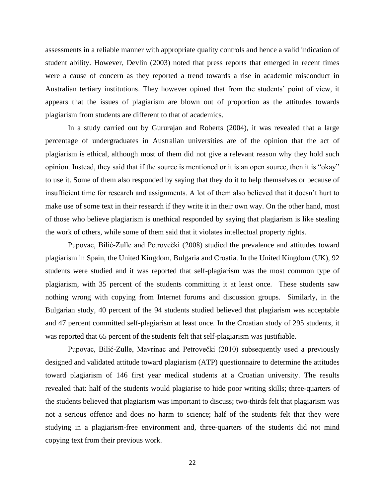assessments in a reliable manner with appropriate quality controls and hence a valid indication of student ability. However, Devlin (2003) noted that press reports that emerged in recent times were a cause of concern as they reported a trend towards a rise in academic misconduct in Australian tertiary institutions. They however opined that from the students' point of view, it appears that the issues of plagiarism are blown out of proportion as the attitudes towards plagiarism from students are different to that of academics.

In a study carried out by Gururajan and Roberts (2004), it was revealed that a large percentage of undergraduates in Australian universities are of the opinion that the act of plagiarism is ethical, although most of them did not give a relevant reason why they hold such opinion. Instead, they said that if the source is mentioned or it is an open source, then it is "okay" to use it. Some of them also responded by saying that they do it to help themselves or because of insufficient time for research and assignments. A lot of them also believed that it doesn't hurt to make use of some text in their research if they write it in their own way. On the other hand, most of those who believe plagiarism is unethical responded by saying that plagiarism is like stealing the work of others, while some of them said that it violates intellectual property rights.

Pupovac, Bilić-Zulle and Petrovečki (2008) studied the prevalence and attitudes toward plagiarism in Spain, the United Kingdom, Bulgaria and Croatia. In the United Kingdom (UK), 92 students were studied and it was reported that self-plagiarism was the most common type of plagiarism, with 35 percent of the students committing it at least once. These students saw nothing wrong with copying from Internet forums and discussion groups. Similarly, in the Bulgarian study, 40 percent of the 94 students studied believed that plagiarism was acceptable and 47 percent committed self-plagiarism at least once. In the Croatian study of 295 students, it was reported that 65 percent of the students felt that self-plagiarism was justifiable.

Pupovac, Bilić-Zulle, Mavrinac and Petrovečki (2010) subsequently used a previously designed and validated attitude toward plagiarism (ATP) questionnaire to determine the attitudes toward plagiarism of 146 first year medical students at a Croatian university. The results revealed that: half of the students would plagiarise to hide poor writing skills; three-quarters of the students believed that plagiarism was important to discuss; two-thirds felt that plagiarism was not a serious offence and does no harm to science; half of the students felt that they were studying in a plagiarism-free environment and, three-quarters of the students did not mind copying text from their previous work.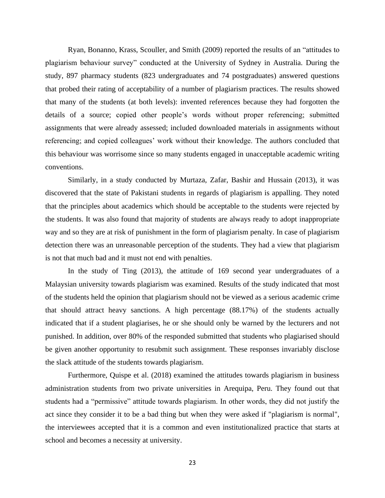Ryan, Bonanno, Krass, Scouller, and Smith (2009) reported the results of an "attitudes to plagiarism behaviour survey" conducted at the University of Sydney in Australia. During the study, 897 pharmacy students (823 undergraduates and 74 postgraduates) answered questions that probed their rating of acceptability of a number of plagiarism practices. The results showed that many of the students (at both levels): invented references because they had forgotten the details of a source; copied other people's words without proper referencing; submitted assignments that were already assessed; included downloaded materials in assignments without referencing; and copied colleagues' work without their knowledge. The authors concluded that this behaviour was worrisome since so many students engaged in unacceptable academic writing conventions.

Similarly, in a study conducted by Murtaza, Zafar, Bashir and Hussain (2013), it was discovered that the state of Pakistani students in regards of plagiarism is appalling. They noted that the principles about academics which should be acceptable to the students were rejected by the students. It was also found that majority of students are always ready to adopt inappropriate way and so they are at risk of punishment in the form of plagiarism penalty. In case of plagiarism detection there was an unreasonable perception of the students. They had a view that plagiarism is not that much bad and it must not end with penalties.

In the study of Ting (2013), the attitude of 169 second year undergraduates of a Malaysian university towards plagiarism was examined. Results of the study indicated that most of the students held the opinion that plagiarism should not be viewed as a serious academic crime that should attract heavy sanctions. A high percentage (88.17%) of the students actually indicated that if a student plagiarises, he or she should only be warned by the lecturers and not punished. In addition, over 80% of the responded submitted that students who plagiarised should be given another opportunity to resubmit such assignment. These responses invariably disclose the slack attitude of the students towards plagiarism.

Furthermore, Quispe et al. (2018) examined the attitudes towards plagiarism in business administration students from two private universities in Arequipa, Peru. They found out that students had a "permissive" attitude towards plagiarism. In other words, they did not justify the act since they consider it to be a bad thing but when they were asked if "plagiarism is normal", the interviewees accepted that it is a common and even institutionalized practice that starts at school and becomes a necessity at university.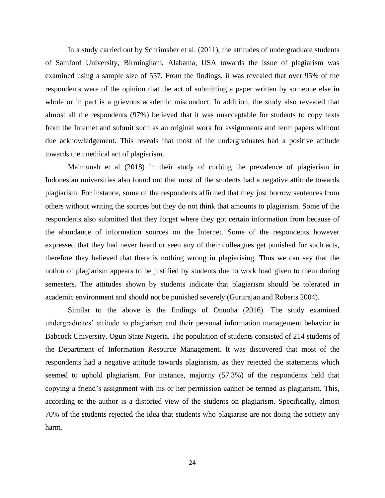In a study carried out by Schrimsher et al. (2011), the attitudes of undergraduate students of Samford University, Birmingham, Alabama, USA towards the issue of plagiarism was examined using a sample size of 557. From the findings, it was revealed that over 95% of the respondents were of the opinion that the act of submitting a paper written by someone else in whole or in part is a grievous academic misconduct. In addition, the study also revealed that almost all the respondents (97%) believed that it was unacceptable for students to copy texts from the Internet and submit such as an original work for assignments and term papers without due acknowledgement. This reveals that most of the undergraduates had a positive attitude towards the unethical act of plagiarism.

Maimunah et al (2018) in their study of curbing the prevalence of plagiarism in Indonesian universities also found out that most of the students had a negative attitude towards plagiarism. For instance, some of the respondents affirmed that they just borrow sentences from others without writing the sources but they do not think that amounts to plagiarism. Some of the respondents also submitted that they forget where they got certain information from because of the abundance of information sources on the Internet. Some of the respondents however expressed that they had never heard or seen any of their colleagues get punished for such acts, therefore they believed that there is nothing wrong in plagiarising. Thus we can say that the notion of plagiarism appears to be justified by students due to work load given to them during semesters. The attitudes shown by students indicate that plagiarism should be tolerated in academic environment and should not be punished severely (Gururajan and Roberts 2004).

Similar to the above is the findings of Onuoha (2016). The study examined undergraduates' attitude to plagiarism and their personal information management behavior in Babcock University, Ogun State Nigeria. The population of students consisted of 214 students of the Department of Information Resource Management. It was discovered that most of the respondents had a negative attitude towards plagiarism, as they rejected the statements which seemed to uphold plagiarism. For instance, majority (57.3%) of the respondents held that copying a friend's assignment with his or her permission cannot be termed as plagiarism. This, according to the author is a distorted view of the students on plagiarism. Specifically, almost 70% of the students rejected the idea that students who plagiarise are not doing the society any harm.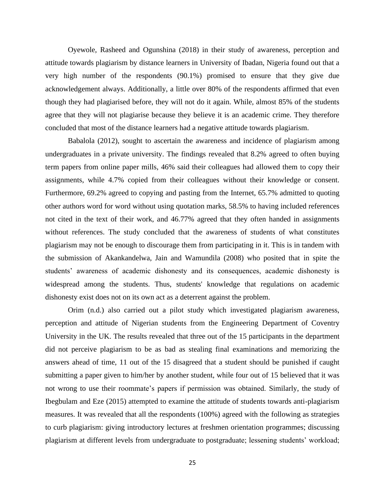Oyewole, Rasheed and Ogunshina (2018) in their study of awareness, perception and attitude towards plagiarism by distance learners in University of Ibadan, Nigeria found out that a very high number of the respondents (90.1%) promised to ensure that they give due acknowledgement always. Additionally, a little over 80% of the respondents affirmed that even though they had plagiarised before, they will not do it again. While, almost 85% of the students agree that they will not plagiarise because they believe it is an academic crime. They therefore concluded that most of the distance learners had a negative attitude towards plagiarism.

Babalola (2012), sought to ascertain the awareness and incidence of plagiarism among undergraduates in a private university. The findings revealed that 8.2% agreed to often buying term papers from online paper mills, 46% said their colleagues had allowed them to copy their assignments, while 4.7% copied from their colleagues without their knowledge or consent. Furthermore, 69.2% agreed to copying and pasting from the Internet, 65.7% admitted to quoting other authors word for word without using quotation marks, 58.5% to having included references not cited in the text of their work, and 46.77% agreed that they often handed in assignments without references. The study concluded that the awareness of students of what constitutes plagiarism may not be enough to discourage them from participating in it. This is in tandem with the submission of Akankandelwa, Jain and Wamundila (2008) who posited that in spite the students' awareness of academic dishonesty and its consequences, academic dishonesty is widespread among the students. Thus, students' knowledge that regulations on academic dishonesty exist does not on its own act as a deterrent against the problem.

Orim (n.d.) also carried out a pilot study which investigated plagiarism awareness, perception and attitude of Nigerian students from the Engineering Department of Coventry University in the UK. The results revealed that three out of the 15 participants in the department did not perceive plagiarism to be as bad as stealing final examinations and memorizing the answers ahead of time, 11 out of the 15 disagreed that a student should be punished if caught submitting a paper given to him/her by another student, while four out of 15 believed that it was not wrong to use their roommate's papers if permission was obtained. Similarly, the study of Ibegbulam and Eze (2015) attempted to examine the attitude of students towards anti-plagiarism measures. It was revealed that all the respondents (100%) agreed with the following as strategies to curb plagiarism: giving introductory lectures at freshmen orientation programmes; discussing plagiarism at different levels from undergraduate to postgraduate; lessening students' workload;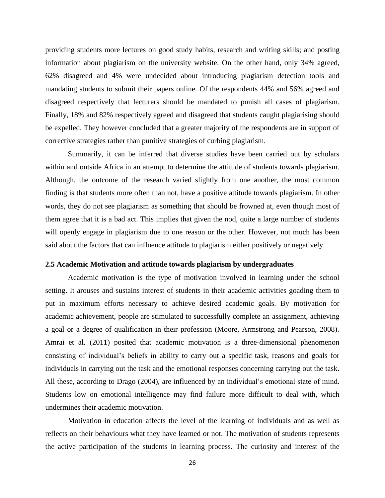providing students more lectures on good study habits, research and writing skills; and posting information about plagiarism on the university website. On the other hand, only 34% agreed, 62% disagreed and 4% were undecided about introducing plagiarism detection tools and mandating students to submit their papers online. Of the respondents 44% and 56% agreed and disagreed respectively that lecturers should be mandated to punish all cases of plagiarism. Finally, 18% and 82% respectively agreed and disagreed that students caught plagiarising should be expelled. They however concluded that a greater majority of the respondents are in support of corrective strategies rather than punitive strategies of curbing plagiarism.

Summarily, it can be inferred that diverse studies have been carried out by scholars within and outside Africa in an attempt to determine the attitude of students towards plagiarism. Although, the outcome of the research varied slightly from one another, the most common finding is that students more often than not, have a positive attitude towards plagiarism. In other words, they do not see plagiarism as something that should be frowned at, even though most of them agree that it is a bad act. This implies that given the nod, quite a large number of students will openly engage in plagiarism due to one reason or the other. However, not much has been said about the factors that can influence attitude to plagiarism either positively or negatively.

## **2.5 Academic Motivation and attitude towards plagiarism by undergraduates**

Academic motivation is the type of motivation involved in learning under the school setting. It arouses and sustains interest of students in their academic activities goading them to put in maximum efforts necessary to achieve desired academic goals. By motivation for academic achievement, people are stimulated to successfully complete an assignment, achieving a goal or a degree of qualification in their profession (Moore, Armstrong and Pearson, 2008). Amrai et al. (2011) posited that academic motivation is a three-dimensional phenomenon consisting of individual's beliefs in ability to carry out a specific task, reasons and goals for individuals in carrying out the task and the emotional responses concerning carrying out the task. All these, according to Drago (2004), are influenced by an individual's emotional state of mind. Students low on emotional intelligence may find failure more difficult to deal with, which undermines their academic motivation.

Motivation in education affects the level of the learning of individuals and as well as reflects on their behaviours what they have learned or not. The motivation of students represents the active participation of the students in learning process. The curiosity and interest of the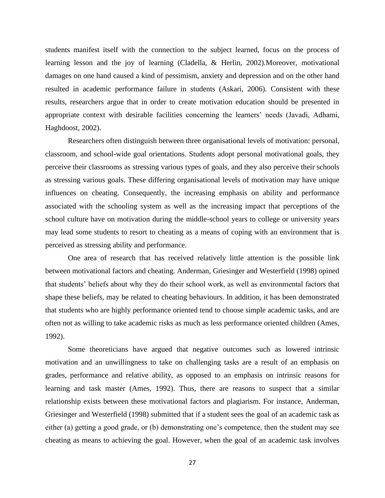students manifest itself with the connection to the subject learned, focus on the process of learning lesson and the joy of learning (Cladella, & Herlin, 2002).Moreover, motivational damages on one hand caused a kind of pessimism, anxiety and depression and on the other hand resulted in academic performance failure in students (Askari, 2006). Consistent with these results, researchers argue that in order to create motivation education should be presented in appropriate context with desirable facilities concerning the learners' needs (Javadi, Adhami, Haghdoost, 2002).

Researchers often distinguish between three organisational levels of motivation: personal, classroom, and school-wide goal orientations. Students adopt personal motivational goals, they perceive their classrooms as stressing various types of goals, and they also perceive their schools as stressing various goals. These differing organisational levels of motivation may have unique influences on cheating. Consequently, the increasing emphasis on ability and performance associated with the schooling system as well as the increasing impact that perceptions of the school culture have on motivation during the middle-school years to college or university years may lead some students to resort to cheating as a means of coping with an environment that is perceived as stressing ability and performance.

One area of research that has received relatively little attention is the possible link between motivational factors and cheating. Anderman, Griesinger and Westerfield (1998) opined that students' beliefs about why they do their school work, as well as environmental factors that shape these beliefs, may be related to cheating behaviours. In addition, it has been demonstrated that students who are highly performance oriented tend to choose simple academic tasks, and are often not as willing to take academic risks as much as less performance oriented children (Ames, 1992).

Some theoreticians have argued that negative outcomes such as lowered intrinsic motivation and an unwillingness to take on challenging tasks are a result of an emphasis on grades, performance and relative ability, as opposed to an emphasis on intrinsic reasons for learning and task master (Ames, 1992). Thus, there are reasons to suspect that a similar relationship exists between these motivational factors and plagiarism. For instance, Anderman, Griesinger and Westerfield (1998) submitted that if a student sees the goal of an academic task as either (a) getting a good grade, or (b) demonstrating one's competence, then the student may see cheating as means to achieving the goal. However, when the goal of an academic task involves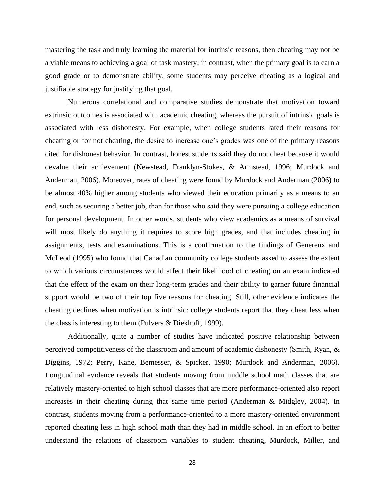mastering the task and truly learning the material for intrinsic reasons, then cheating may not be a viable means to achieving a goal of task mastery; in contrast, when the primary goal is to earn a good grade or to demonstrate ability, some students may perceive cheating as a logical and justifiable strategy for justifying that goal.

Numerous correlational and comparative studies demonstrate that motivation toward extrinsic outcomes is associated with academic cheating, whereas the pursuit of intrinsic goals is associated with less dishonesty. For example, when college students rated their reasons for cheating or for not cheating, the desire to increase one's grades was one of the primary reasons cited for dishonest behavior. In contrast, honest students said they do not cheat because it would devalue their achievement (Newstead, Franklyn-Stokes, & Armstead, 1996; Murdock and Anderman, 2006). Moreover, rates of cheating were found by Murdock and Anderman (2006) to be almost 40% higher among students who viewed their education primarily as a means to an end, such as securing a better job, than for those who said they were pursuing a college education for personal development. In other words, students who view academics as a means of survival will most likely do anything it requires to score high grades, and that includes cheating in assignments, tests and examinations. This is a confirmation to the findings of Genereux and McLeod (1995) who found that Canadian community college students asked to assess the extent to which various circumstances would affect their likelihood of cheating on an exam indicated that the effect of the exam on their long-term grades and their ability to garner future financial support would be two of their top five reasons for cheating. Still, other evidence indicates the cheating declines when motivation is intrinsic: college students report that they cheat less when the class is interesting to them (Pulvers & Diekhoff, 1999).

Additionally, quite a number of studies have indicated positive relationship between perceived competitiveness of the classroom and amount of academic dishonesty (Smith, Ryan, & Diggins, 1972; Perry, Kane, Bemesser, & Spicker, 1990; Murdock and Anderman, 2006). Longitudinal evidence reveals that students moving from middle school math classes that are relatively mastery-oriented to high school classes that are more performance-oriented also report increases in their cheating during that same time period (Anderman & Midgley, 2004). In contrast, students moving from a performance-oriented to a more mastery-oriented environment reported cheating less in high school math than they had in middle school. In an effort to better understand the relations of classroom variables to student cheating, Murdock, Miller, and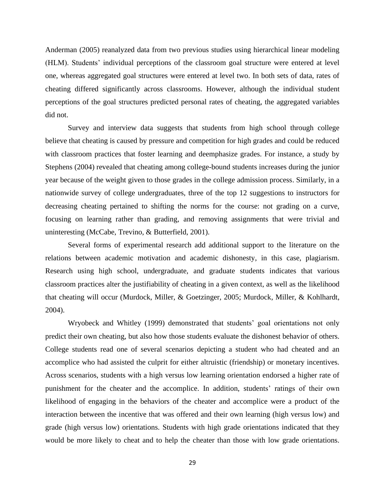Anderman (2005) reanalyzed data from two previous studies using hierarchical linear modeling (HLM). Students' individual perceptions of the classroom goal structure were entered at level one, whereas aggregated goal structures were entered at level two. In both sets of data, rates of cheating differed significantly across classrooms. However, although the individual student perceptions of the goal structures predicted personal rates of cheating, the aggregated variables did not.

Survey and interview data suggests that students from high school through college believe that cheating is caused by pressure and competition for high grades and could be reduced with classroom practices that foster learning and deemphasize grades. For instance, a study by Stephens (2004) revealed that cheating among college-bound students increases during the junior year because of the weight given to those grades in the college admission process. Similarly, in a nationwide survey of college undergraduates, three of the top 12 suggestions to instructors for decreasing cheating pertained to shifting the norms for the course: not grading on a curve, focusing on learning rather than grading, and removing assignments that were trivial and uninteresting (McCabe, Trevino, & Butterfield, 2001).

Several forms of experimental research add additional support to the literature on the relations between academic motivation and academic dishonesty, in this case, plagiarism. Research using high school, undergraduate, and graduate students indicates that various classroom practices alter the justifiability of cheating in a given context, as well as the likelihood that cheating will occur (Murdock, Miller, & Goetzinger, 2005; Murdock, Miller, & Kohlhardt, 2004).

Wryobeck and Whitley (1999) demonstrated that students' goal orientations not only predict their own cheating, but also how those students evaluate the dishonest behavior of others. College students read one of several scenarios depicting a student who had cheated and an accomplice who had assisted the culprit for either altruistic (friendship) or monetary incentives. Across scenarios, students with a high versus low learning orientation endorsed a higher rate of punishment for the cheater and the accomplice. In addition, students' ratings of their own likelihood of engaging in the behaviors of the cheater and accomplice were a product of the interaction between the incentive that was offered and their own learning (high versus low) and grade (high versus low) orientations. Students with high grade orientations indicated that they would be more likely to cheat and to help the cheater than those with low grade orientations.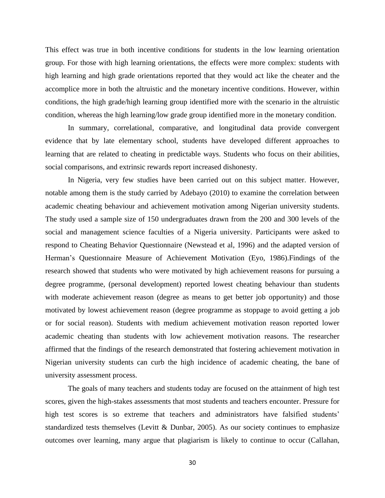This effect was true in both incentive conditions for students in the low learning orientation group. For those with high learning orientations, the effects were more complex: students with high learning and high grade orientations reported that they would act like the cheater and the accomplice more in both the altruistic and the monetary incentive conditions. However, within conditions, the high grade/high learning group identified more with the scenario in the altruistic condition, whereas the high learning/low grade group identified more in the monetary condition.

In summary, correlational, comparative, and longitudinal data provide convergent evidence that by late elementary school, students have developed different approaches to learning that are related to cheating in predictable ways. Students who focus on their abilities, social comparisons, and extrinsic rewards report increased dishonesty.

In Nigeria, very few studies have been carried out on this subject matter. However, notable among them is the study carried by Adebayo (2010) to examine the correlation between academic cheating behaviour and achievement motivation among Nigerian university students. The study used a sample size of 150 undergraduates drawn from the 200 and 300 levels of the social and management science faculties of a Nigeria university. Participants were asked to respond to Cheating Behavior Questionnaire (Newstead et al, 1996) and the adapted version of Herman's Questionnaire Measure of Achievement Motivation (Eyo, 1986).Findings of the research showed that students who were motivated by high achievement reasons for pursuing a degree programme, (personal development) reported lowest cheating behaviour than students with moderate achievement reason (degree as means to get better job opportunity) and those motivated by lowest achievement reason (degree programme as stoppage to avoid getting a job or for social reason). Students with medium achievement motivation reason reported lower academic cheating than students with low achievement motivation reasons. The researcher affirmed that the findings of the research demonstrated that fostering achievement motivation in Nigerian university students can curb the high incidence of academic cheating, the bane of university assessment process.

The goals of many teachers and students today are focused on the attainment of high test scores, given the high-stakes assessments that most students and teachers encounter. Pressure for high test scores is so extreme that teachers and administrators have falsified students' standardized tests themselves (Levitt & Dunbar, 2005). As our society continues to emphasize outcomes over learning, many argue that plagiarism is likely to continue to occur (Callahan,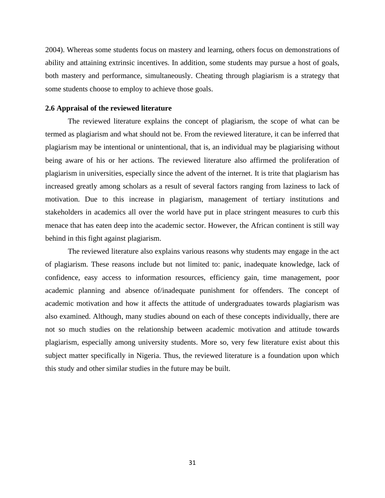2004). Whereas some students focus on mastery and learning, others focus on demonstrations of ability and attaining extrinsic incentives. In addition, some students may pursue a host of goals, both mastery and performance, simultaneously. Cheating through plagiarism is a strategy that some students choose to employ to achieve those goals.

## **2.6 Appraisal of the reviewed literature**

The reviewed literature explains the concept of plagiarism, the scope of what can be termed as plagiarism and what should not be. From the reviewed literature, it can be inferred that plagiarism may be intentional or unintentional, that is, an individual may be plagiarising without being aware of his or her actions. The reviewed literature also affirmed the proliferation of plagiarism in universities, especially since the advent of the internet. It is trite that plagiarism has increased greatly among scholars as a result of several factors ranging from laziness to lack of motivation. Due to this increase in plagiarism, management of tertiary institutions and stakeholders in academics all over the world have put in place stringent measures to curb this menace that has eaten deep into the academic sector. However, the African continent is still way behind in this fight against plagiarism.

The reviewed literature also explains various reasons why students may engage in the act of plagiarism. These reasons include but not limited to: panic, inadequate knowledge, lack of confidence, easy access to information resources, efficiency gain, time management, poor academic planning and absence of/inadequate punishment for offenders. The concept of academic motivation and how it affects the attitude of undergraduates towards plagiarism was also examined. Although, many studies abound on each of these concepts individually, there are not so much studies on the relationship between academic motivation and attitude towards plagiarism, especially among university students. More so, very few literature exist about this subject matter specifically in Nigeria. Thus, the reviewed literature is a foundation upon which this study and other similar studies in the future may be built.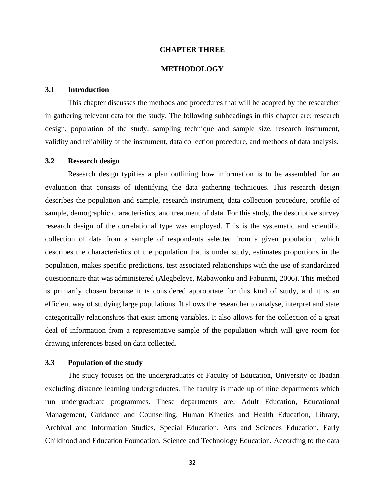#### **CHAPTER THREE**

# **METHODOLOGY**

# **3.1 Introduction**

This chapter discusses the methods and procedures that will be adopted by the researcher in gathering relevant data for the study. The following subheadings in this chapter are: research design, population of the study, sampling technique and sample size, research instrument, validity and reliability of the instrument, data collection procedure, and methods of data analysis.

#### **3.2 Research design**

Research design typifies a plan outlining how information is to be assembled for an evaluation that consists of identifying the data gathering techniques. This research design describes the population and sample, research instrument, data collection procedure, profile of sample, demographic characteristics, and treatment of data. For this study, the descriptive survey research design of the correlational type was employed. This is the systematic and scientific collection of data from a sample of respondents selected from a given population, which describes the characteristics of the population that is under study, estimates proportions in the population, makes specific predictions, test associated relationships with the use of standardized questionnaire that was administered (Alegbeleye, Mabawonku and Fabunmi, 2006). This method is primarily chosen because it is considered appropriate for this kind of study, and it is an efficient way of studying large populations. It allows the researcher to analyse, interpret and state categorically relationships that exist among variables. It also allows for the collection of a great deal of information from a representative sample of the population which will give room for drawing inferences based on data collected.

#### **3.3 Population of the study**

The study focuses on the undergraduates of Faculty of Education, University of Ibadan excluding distance learning undergraduates. The faculty is made up of nine departments which run undergraduate programmes. These departments are; Adult Education, Educational Management, Guidance and Counselling, Human Kinetics and Health Education, Library, Archival and Information Studies, Special Education, Arts and Sciences Education, Early Childhood and Education Foundation, Science and Technology Education. According to the data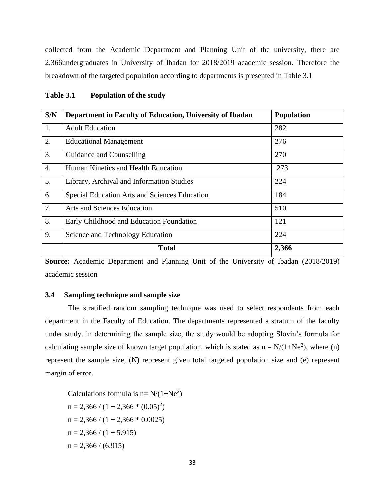collected from the Academic Department and Planning Unit of the university, there are 2,366undergraduates in University of Ibadan for 2018/2019 academic session. Therefore the breakdown of the targeted population according to departments is presented in Table 3.1

| S/N              | Department in Faculty of Education, University of Ibadan | <b>Population</b> |
|------------------|----------------------------------------------------------|-------------------|
| 1.               | <b>Adult Education</b>                                   | 282               |
| 2.               | <b>Educational Management</b>                            | 276               |
| 3.               | Guidance and Counselling                                 | 270               |
| $\overline{4}$ . | Human Kinetics and Health Education                      | 273               |
| 5.               | Library, Archival and Information Studies                | 224               |
| 6.               | Special Education Arts and Sciences Education            | 184               |
| 7.               | <b>Arts and Sciences Education</b>                       | 510               |
| 8.               | Early Childhood and Education Foundation                 | 121               |
| 9.               | Science and Technology Education                         | 224               |
|                  | <b>Total</b>                                             | 2,366             |

| Table 3.1 |  | <b>Population of the study</b> |
|-----------|--|--------------------------------|
|-----------|--|--------------------------------|

**Source:** Academic Department and Planning Unit of the University of Ibadan (2018/2019) academic session

# **3.4 Sampling technique and sample size**

The stratified random sampling technique was used to select respondents from each department in the Faculty of Education. The departments represented a stratum of the faculty under study. in determining the sample size, the study would be adopting Slovin's formula for calculating sample size of known target population, which is stated as  $n = N/(1+Ne^2)$ , where (n) represent the sample size, (N) represent given total targeted population size and (e) represent margin of error.

Calculations formula is  $n = N/(1+Ne^2)$  $n = 2,366 / (1 + 2,366 * (0.05)^{2})$  $n = 2,366 / (1 + 2,366 * 0.0025)$  $n = 2,366 / (1 + 5.915)$  $n = 2,366 / (6.915)$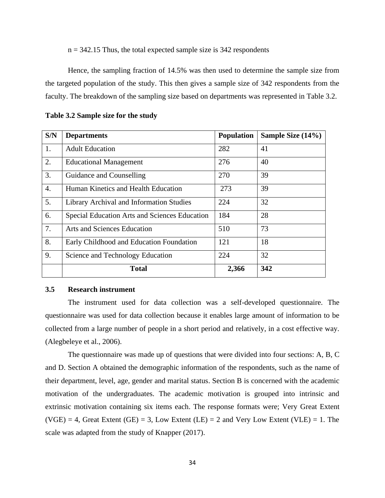$n = 342.15$  Thus, the total expected sample size is 342 respondents

Hence, the sampling fraction of 14.5% was then used to determine the sample size from the targeted population of the study. This then gives a sample size of 342 respondents from the faculty. The breakdown of the sampling size based on departments was represented in Table 3.2.

| S/N              | <b>Departments</b>                            | <b>Population</b> | Sample Size (14%) |
|------------------|-----------------------------------------------|-------------------|-------------------|
| 1.               | <b>Adult Education</b>                        | 282               | 41                |
| 2.               | <b>Educational Management</b>                 | 276               | 40                |
| 3.               | Guidance and Counselling                      | 270               | 39                |
| $\overline{4}$ . | Human Kinetics and Health Education           | 273               | 39                |
| 5.               | Library Archival and Information Studies      | 224               | 32                |
| 6.               | Special Education Arts and Sciences Education | 184               | 28                |
| 7.               | Arts and Sciences Education                   | 510               | 73                |
| 8.               | Early Childhood and Education Foundation      | 121               | 18                |
| 9.               | Science and Technology Education              | 224               | 32                |
|                  | <b>Total</b>                                  | 2,366             | 342               |

#### **Table 3.2 Sample size for the study**

## **3.5 Research instrument**

The instrument used for data collection was a self-developed questionnaire. The questionnaire was used for data collection because it enables large amount of information to be collected from a large number of people in a short period and relatively, in a cost effective way. (Alegbeleye et al., 2006).

The questionnaire was made up of questions that were divided into four sections: A, B, C and D. Section A obtained the demographic information of the respondents, such as the name of their department, level, age, gender and marital status. Section B is concerned with the academic motivation of the undergraduates. The academic motivation is grouped into intrinsic and extrinsic motivation containing six items each. The response formats were; Very Great Extent  $(VGE) = 4$ , Great Extent  $(GE) = 3$ , Low Extent  $(LE) = 2$  and Very Low Extent  $(VLE) = 1$ . The scale was adapted from the study of Knapper (2017).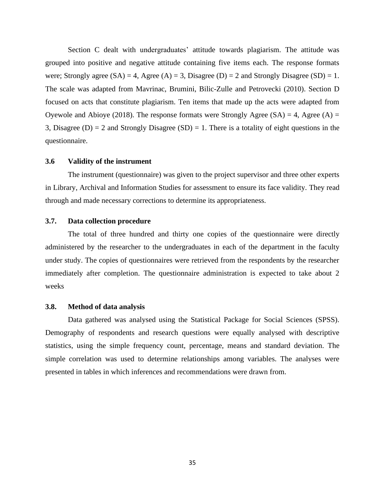Section C dealt with undergraduates' attitude towards plagiarism. The attitude was grouped into positive and negative attitude containing five items each. The response formats were; Strongly agree  $(SA) = 4$ , Agree  $(A) = 3$ , Disagree  $(D) = 2$  and Strongly Disagree  $(SD) = 1$ . The scale was adapted from Mavrinac, Brumini, Bilic-Zulle and Petrovecki (2010). Section D focused on acts that constitute plagiarism. Ten items that made up the acts were adapted from Oyewole and Abioye (2018). The response formats were Strongly Agree (SA) = 4, Agree (A) = 3, Disagree (D) = 2 and Strongly Disagree (SD) = 1. There is a totality of eight questions in the questionnaire.

#### **3.6 Validity of the instrument**

The instrument (questionnaire) was given to the project supervisor and three other experts in Library, Archival and Information Studies for assessment to ensure its face validity. They read through and made necessary corrections to determine its appropriateness.

#### **3.7. Data collection procedure**

The total of three hundred and thirty one copies of the questionnaire were directly administered by the researcher to the undergraduates in each of the department in the faculty under study. The copies of questionnaires were retrieved from the respondents by the researcher immediately after completion. The questionnaire administration is expected to take about 2 weeks

#### **3.8. Method of data analysis**

Data gathered was analysed using the Statistical Package for Social Sciences (SPSS). Demography of respondents and research questions were equally analysed with descriptive statistics, using the simple frequency count, percentage, means and standard deviation. The simple correlation was used to determine relationships among variables. The analyses were presented in tables in which inferences and recommendations were drawn from.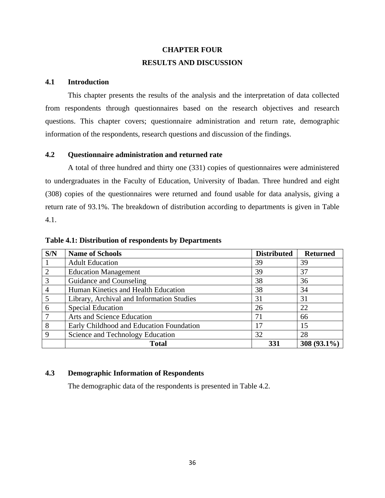# **CHAPTER FOUR RESULTS AND DISCUSSION**

## **4.1 Introduction**

This chapter presents the results of the analysis and the interpretation of data collected from respondents through questionnaires based on the research objectives and research questions. This chapter covers; questionnaire administration and return rate, demographic information of the respondents, research questions and discussion of the findings.

# **4.2 Questionnaire administration and returned rate**

A total of three hundred and thirty one (331) copies of questionnaires were administered to undergraduates in the Faculty of Education, University of Ibadan. Three hundred and eight (308) copies of the questionnaires were returned and found usable for data analysis, giving a return rate of 93.1%. The breakdown of distribution according to departments is given in Table 4.1.

| S/N            | <b>Name of Schools</b>                    | <b>Distributed</b> | <b>Returned</b> |
|----------------|-------------------------------------------|--------------------|-----------------|
|                | <b>Adult Education</b>                    | 39                 | 39              |
| $\overline{2}$ | <b>Education Management</b>               | 39                 | 37              |
| $\overline{3}$ | Guidance and Counseling                   | 38                 | 36              |
| $\overline{4}$ | Human Kinetics and Health Education       | 38                 | 34              |
| 5              | Library, Archival and Information Studies | 31                 | 31              |
| 6              | <b>Special Education</b>                  | 26                 | 22              |
| $\overline{7}$ | Arts and Science Education                | 71                 | 66              |
| 8              | Early Childhood and Education Foundation  | 17                 | 15              |
| 9              | Science and Technology Education          | 32                 | 28              |
|                | <b>Total</b>                              | 331                | $308(93.1\%)$   |

**Table 4.1: Distribution of respondents by Departments**

# **4.3 Demographic Information of Respondents**

The demographic data of the respondents is presented in Table 4.2.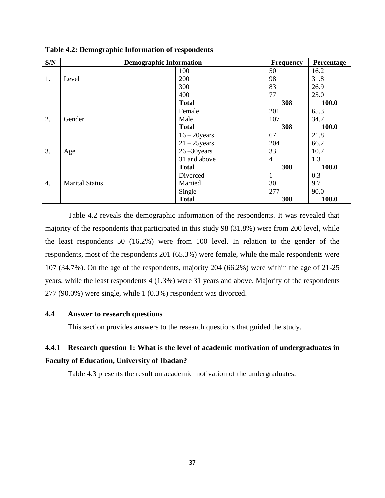| S/N | <b>Demographic Information</b> |                 | <b>Frequency</b> | Percentage |
|-----|--------------------------------|-----------------|------------------|------------|
|     |                                | 100             | 50               | 16.2       |
| 1.  | Level                          | 200             | 98               | 31.8       |
|     |                                | 300             | 83               | 26.9       |
|     |                                | 400             | 77               | 25.0       |
|     |                                | <b>Total</b>    | 308              | 100.0      |
|     |                                | Female          | 201              | 65.3       |
| 2.  | Gender                         | Male            | 107              | 34.7       |
|     |                                | <b>Total</b>    | 308              | 100.0      |
|     |                                | $16 - 20$ years | 67               | 21.8       |
|     |                                | $21 - 25$ years | 204              | 66.2       |
| 3.  | Age                            | $26 - 30$ years | 33               | 10.7       |
|     |                                | 31 and above    | $\overline{4}$   | 1.3        |
|     |                                | <b>Total</b>    | 308              | 100.0      |
|     |                                | Divorced        | 1                | 0.3        |
| 4.  | <b>Marital Status</b>          | Married         | 30               | 9.7        |
|     |                                | Single          | 277              | 90.0       |
|     |                                | <b>Total</b>    | 308              | 100.0      |

**Table 4.2: Demographic Information of respondents**

Table 4.2 reveals the demographic information of the respondents. It was revealed that majority of the respondents that participated in this study 98 (31.8%) were from 200 level, while the least respondents 50 (16.2%) were from 100 level. In relation to the gender of the respondents, most of the respondents 201 (65.3%) were female, while the male respondents were 107 (34.7%). On the age of the respondents, majority 204 (66.2%) were within the age of 21-25 years, while the least respondents 4 (1.3%) were 31 years and above. Majority of the respondents 277 (90.0%) were single, while 1 (0.3%) respondent was divorced.

## **4.4 Answer to research questions**

This section provides answers to the research questions that guided the study.

# **4.4.1 Research question 1: What is the level of academic motivation of undergraduates in Faculty of Education, University of Ibadan?**

Table 4.3 presents the result on academic motivation of the undergraduates.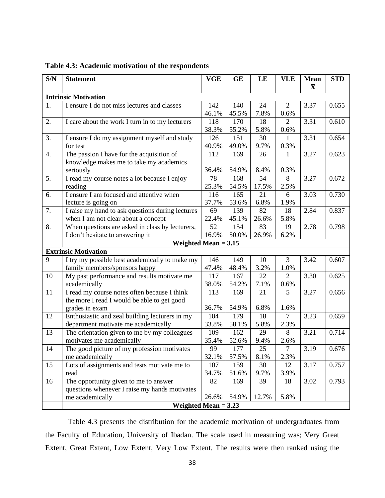| S/N              | <b>Statement</b>                                 | <b>VGE</b>  | <b>GE</b> | LE      | <b>VLE</b>     | Mean               | <b>STD</b> |
|------------------|--------------------------------------------------|-------------|-----------|---------|----------------|--------------------|------------|
|                  |                                                  |             |           |         |                | $\bar{\mathbf{x}}$ |            |
|                  | <b>Intrinsic Motivation</b>                      |             |           |         |                |                    |            |
| 1.               | I ensure I do not miss lectures and classes      | 142         | 140       | 24      | $\overline{2}$ | 3.37               | 0.655      |
|                  |                                                  | 46.1%       | 45.5%     | 7.8%    | 0.6%           |                    |            |
| 2.               | I care about the work I turn in to my lecturers  | 118         | 170       | 18      | $\overline{2}$ | 3.31               | 0.610      |
|                  |                                                  | 38.3%       | 55.2%     | 5.8%    | 0.6%           |                    |            |
| 3.               | I ensure I do my assignment myself and study     | 126         | 151       | 30      | 1              | 3.31               | 0.654      |
|                  | for test                                         | 40.9%       | 49.0%     | 9.7%    | 0.3%           |                    |            |
| $\overline{4}$ . | The passion I have for the acquisition of        |             | 169       | 26      | 1              | 3.27               | 0.623      |
|                  | knowledge makes me to take my academics          |             |           |         |                |                    |            |
|                  | seriously                                        | 36.4%<br>78 | 54.9%     | 8.4%    | 0.3%           |                    |            |
| 5.               | I read my course notes a lot because I enjoy     |             | 168       | 54      | 8              | 3.27               | 0.672      |
|                  | reading                                          | 25.3%       | 54.5%     | 17.5%   | 2.5%           |                    |            |
| 6.               | I ensure I am focused and attentive when         | 116         | 165       | 21      | 6              | 3.03               | 0.730      |
|                  | lecture is going on                              | 37.7%       | 53.6%     | 6.8%    | 1.9%           |                    |            |
| 7.               | I raise my hand to ask questions during lectures | 69          | 139       | 82      | 18             | 2.84               | 0.837      |
|                  | when I am not clear about a concept              | 22.4%       | 45.1%     | 26.6%   | 5.8%           |                    |            |
| 8.               | When questions are asked in class by lecturers,  | 52          | 154       | 83      | 19             | 2.78               | 0.798      |
|                  | I don't hesitate to answering it                 | 16.9%       | 50.0%     | 26.9%   | 6.2%           |                    |            |
|                  | Weighted Mean $= 3.15$                           |             |           |         |                |                    |            |
|                  | <b>Extrinsic Motivation</b>                      |             |           |         |                |                    |            |
| 9                | I try my possible best academically to make my   | 146         | 149       | 10      | 3              | 3.42               | 0.607      |
|                  | family members/sponsors happy                    | 47.4%       | 48.4%     | 3.2%    | 1.0%           |                    |            |
| 10               | My past performance and results motivate me      | 117         | 167       | 22      | $\overline{2}$ | 3.30               | 0.625      |
|                  | academically                                     | 38.0%       | 54.2%     | 7.1%    | 0.6%           |                    |            |
| 11               | I read my course notes often because I think     | 113         | 169       | 21      | 5              | 3.27               | 0.656      |
|                  | the more I read I would be able to get good      |             |           |         |                |                    |            |
|                  | grades in exam                                   | 36.7%       | 54.9%     | 6.8%    | 1.6%           |                    |            |
| 12               | Enthusiastic and zeal building lecturers in my   | 104         | 179       | 18      | 7              | 3.23               | 0.659      |
|                  | department motivate me academically              | 33.8%       | 58.1%     | 5.8%    | 2.3%           |                    |            |
| 13               | The orientation given to me by my colleagues     | 109         | 162       | 29      | 8              | 3.21               | 0.714      |
|                  | motivates me academically                        | 35.4%       | 52.6%     | 9.4%    | 2.6%           |                    |            |
| 14               | The good picture of my profession motivates      | 99          | 177       | 25      | $\overline{7}$ | 3.19               | 0.676      |
|                  | me academically                                  | 32.1%       | 57.5%     | $8.1\%$ | 2.3%           |                    |            |
| 15               | Lots of assignments and tests motivate me to     | 107         | 159       | 30      | 12             | 3.17               | 0.757      |
|                  | read                                             | 34.7%       | 51.6%     | 9.7%    | 3.9%           |                    |            |
| 16               | The opportunity given to me to answer            | 82          | 169       | 39      | 18             | 3.02               | 0.793      |
|                  | questions whenever I raise my hands motivates    |             |           |         |                |                    |            |
|                  | me academically                                  | 26.6%       | 54.9%     | 12.7%   | 5.8%           |                    |            |
|                  | Weighted Mean $= 3.23$                           |             |           |         |                |                    |            |

**Table 4.3: Academic motivation of the respondents**

Table 4.3 presents the distribution for the academic motivation of undergraduates from the Faculty of Education, University of Ibadan. The scale used in measuring was; Very Great Extent, Great Extent, Low Extent, Very Low Extent. The results were then ranked using the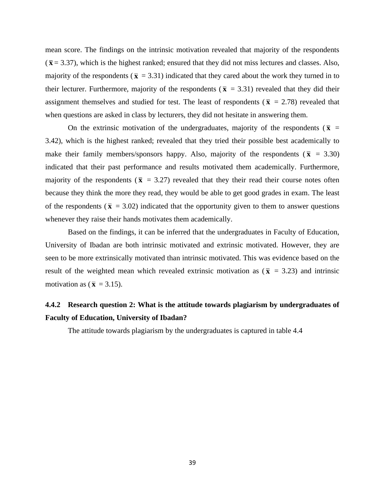mean score. The findings on the intrinsic motivation revealed that majority of the respondents  $(\bar{x} = 3.37)$ , which is the highest ranked; ensured that they did not miss lectures and classes. Also, majority of the respondents ( $\bar{x}$  = 3.31) indicated that they cared about the work they turned in to their lecturer. Furthermore, majority of the respondents ( $\bar{x}$  = 3.31) revealed that they did their assignment themselves and studied for test. The least of respondents ( $\bar{x}$  = 2.78) revealed that when questions are asked in class by lecturers, they did not hesitate in answering them.

On the extrinsic motivation of the undergraduates, majority of the respondents ( $\bar{x}$  = 3.42), which is the highest ranked; revealed that they tried their possible best academically to make their family members/sponsors happy. Also, majority of the respondents ( $\bar{x}$  = 3.30) indicated that their past performance and results motivated them academically. Furthermore, majority of the respondents ( $\bar{x}$  = 3.27) revealed that they their read their course notes often because they think the more they read, they would be able to get good grades in exam. The least of the respondents ( $\bar{x}$  = 3.02) indicated that the opportunity given to them to answer questions whenever they raise their hands motivates them academically.

Based on the findings, it can be inferred that the undergraduates in Faculty of Education, University of Ibadan are both intrinsic motivated and extrinsic motivated. However, they are seen to be more extrinsically motivated than intrinsic motivated. This was evidence based on the result of the weighted mean which revealed extrinsic motivation as ( $\bar{x}$  = 3.23) and intrinsic motivation as  $(\bar{x} = 3.15)$ .

# **4.4.2 Research question 2: What is the attitude towards plagiarism by undergraduates of Faculty of Education, University of Ibadan?**

The attitude towards plagiarism by the undergraduates is captured in table 4.4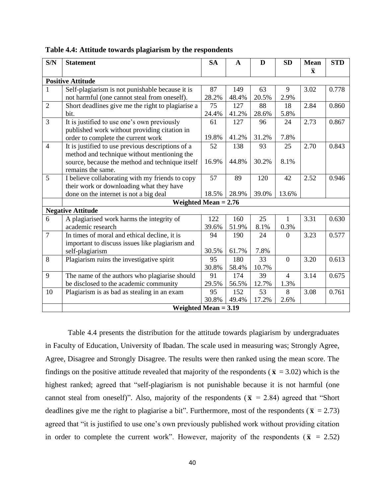| S/N            | <b>Statement</b>                                  | <b>SA</b> | $\mathbf{A}$ | D     | <b>SD</b>      |                         | <b>STD</b> |
|----------------|---------------------------------------------------|-----------|--------------|-------|----------------|-------------------------|------------|
|                |                                                   |           |              |       |                | $\overline{\mathbf{x}}$ |            |
|                | <b>Positive Attitude</b>                          |           |              |       |                |                         |            |
| 1              | Self-plagiarism is not punishable because it is   | 87        | 149          | 63    | 9              | 3.02                    | 0.778      |
|                | not harmful (one cannot steal from oneself).      | 28.2%     | 48.4%        | 20.5% | 2.9%           |                         |            |
| $\overline{2}$ | Short deadlines give me the right to plagiarise a | 75        | 127          | 88    | 18             | 2.84                    | 0.860      |
|                | bit.                                              | 24.4%     | 41.2%        | 28.6% | 5.8%           |                         |            |
| $\overline{3}$ | It is justified to use one's own previously       | 61        | 127          | 96    | 24             | 2.73                    | 0.867      |
|                | published work without providing citation in      |           |              |       |                |                         |            |
|                | order to complete the current work                | 19.8%     | 41.2%        | 31.2% | 7.8%           |                         |            |
| $\overline{4}$ | It is justified to use previous descriptions of a | 52        | 138          | 93    | 25             | 2.70                    | 0.843      |
|                | method and technique without mentioning the       |           |              |       |                |                         |            |
|                | source, because the method and technique itself   | 16.9%     | 44.8%        | 30.2% | 8.1%           |                         |            |
|                | remains the same.                                 |           |              |       |                |                         |            |
| 5              | I believe collaborating with my friends to copy   | 57        | 89           | 120   | 42             | 2.52                    | 0.946      |
|                | their work or downloading what they have          |           |              |       |                |                         |            |
|                | done on the internet is not a big deal            | 18.5%     | 28.9%        | 39.0% | 13.6%          |                         |            |
|                | Weighted Mean $= 2.76$                            |           |              |       |                |                         |            |
|                | <b>Negative Attitude</b>                          |           |              |       |                |                         |            |
| 6              | A plagiarised work harms the integrity of         | 122       | 160          | 25    | 1              | 3.31                    | 0.630      |
|                | academic research                                 | 39.6%     | 51.9%        | 8.1%  | 0.3%           |                         |            |
| $\overline{7}$ | In times of moral and ethical decline, it is      | 94        | 190          | 24    | $\overline{0}$ | 3.23                    | 0.577      |
|                | important to discuss issues like plagiarism and   |           |              |       |                |                         |            |
|                | self-plagiarism                                   | 30.5%     | 61.7%        | 7.8%  |                |                         |            |
| 8              | Plagiarism ruins the investigative spirit         | 95        | 180          | 33    | $\overline{0}$ | 3.20                    | 0.613      |
|                |                                                   | 30.8%     | 58.4%        | 10.7% |                |                         |            |
| 9              | The name of the authors who plagiarise should     | 91        | 174          | 39    | $\overline{4}$ | 3.14                    | 0.675      |
|                | be disclosed to the academic community            | 29.5%     | 56.5%        | 12.7% | 1.3%           |                         |            |
| 10             | Plagiarism is as bad as stealing in an exam       | 95        | 152          | 53    | 8              | 3.08                    | 0.761      |
|                |                                                   | 30.8%     | 49.4%        | 17.2% | 2.6%           |                         |            |
|                | Weighted Mean $= 3.19$                            |           |              |       |                |                         |            |

**Table 4.4: Attitude towards plagiarism by the respondents**

Table 4.4 presents the distribution for the attitude towards plagiarism by undergraduates in Faculty of Education, University of Ibadan. The scale used in measuring was; Strongly Agree, Agree, Disagree and Strongly Disagree. The results were then ranked using the mean score. The findings on the positive attitude revealed that majority of the respondents ( $\bar{x}$  = 3.02) which is the highest ranked; agreed that "self-plagiarism is not punishable because it is not harmful (one cannot steal from oneself)". Also, majority of the respondents ( $\bar{x}$  = 2.84) agreed that "Short deadlines give me the right to plagiarise a bit". Furthermore, most of the respondents ( $\bar{x}$  = 2.73) agreed that "it is justified to use one's own previously published work without providing citation in order to complete the current work". However, majority of the respondents ( $\bar{x}$  = 2.52)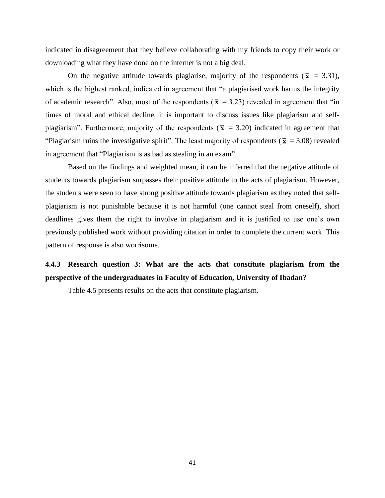indicated in disagreement that they believe collaborating with my friends to copy their work or downloading what they have done on the internet is not a big deal.

On the negative attitude towards plagiarise, majority of the respondents ( $\bar{x}$  = 3.31), which is the highest ranked, indicated in agreement that "a plagiarised work harms the integrity of academic research". Also, most of the respondents ( $\bar{x}$  = 3.23) revealed in agreement that "in times of moral and ethical decline, it is important to discuss issues like plagiarism and selfplagiarism". Furthermore, majority of the respondents ( $\bar{x}$  = 3.20) indicated in agreement that "Plagiarism ruins the investigative spirit". The least majority of respondents ( $\bar{x}$  = 3.08) revealed in agreement that "Plagiarism is as bad as stealing in an exam".

Based on the findings and weighted mean, it can be inferred that the negative attitude of students towards plagiarism surpasses their positive attitude to the acts of plagiarism. However, the students were seen to have strong positive attitude towards plagiarism as they noted that selfplagiarism is not punishable because it is not harmful (one cannot steal from oneself), short deadlines gives them the right to involve in plagiarism and it is justified to use one's own previously published work without providing citation in order to complete the current work. This pattern of response is also worrisome.

# **4.4.3 Research question 3: What are the acts that constitute plagiarism from the perspective of the undergraduates in Faculty of Education, University of Ibadan?**

Table 4.5 presents results on the acts that constitute plagiarism.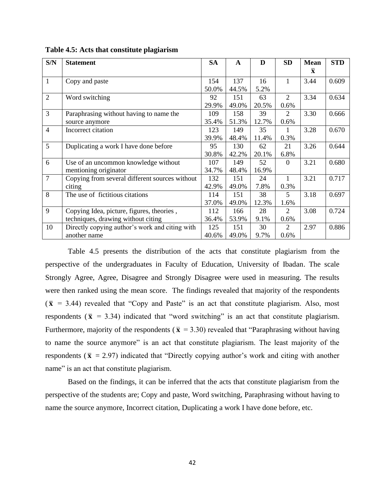| S/N            | <b>Statement</b>                               | <b>SA</b> | A     | D     | <b>SD</b>      | <b>Mean</b>  | <b>STD</b> |
|----------------|------------------------------------------------|-----------|-------|-------|----------------|--------------|------------|
|                |                                                |           |       |       |                | $\mathbf{x}$ |            |
| $\mathbf{1}$   | Copy and paste                                 | 154       | 137   | 16    | $\mathbf{1}$   | 3.44         | 0.609      |
|                |                                                | 50.0%     | 44.5% | 5.2%  |                |              |            |
| $\overline{2}$ | Word switching                                 | 92        | 151   | 63    | 2              | 3.34         | 0.634      |
|                |                                                | 29.9%     | 49.0% | 20.5% | 0.6%           |              |            |
| 3              | Paraphrasing without having to name the        | 109       | 158   | 39    | $\overline{2}$ | 3.30         | 0.666      |
|                | source anymore                                 | 35.4%     | 51.3% | 12.7% | 0.6%           |              |            |
| $\overline{4}$ | Incorrect citation                             | 123       | 149   | 35    | 1              | 3.28         | 0.670      |
|                |                                                | 39.9%     | 48.4% | 11.4% | 0.3%           |              |            |
| 5              | Duplicating a work I have done before          | 95        | 130   | 62    | 21             | 3.26         | 0.644      |
|                |                                                | 30.8%     | 42.2% | 20.1% | 6.8%           |              |            |
| 6              | Use of an uncommon knowledge without           | 107       | 149   | 52    | $\Omega$       | 3.21         | 0.680      |
|                | mentioning originator                          | 34.7%     | 48.4% | 16.9% |                |              |            |
| $\overline{7}$ | Copying from several different sources without | 132       | 151   | 24    | 1              | 3.21         | 0.717      |
|                | citing                                         | 42.9%     | 49.0% | 7.8%  | 0.3%           |              |            |
| 8              | The use of fictitious citations                | 114       | 151   | 38    | 5              | 3.18         | 0.697      |
|                |                                                | 37.0%     | 49.0% | 12.3% | 1.6%           |              |            |
| 9              | Copying Idea, picture, figures, theories,      | 112       | 166   | 28    | 2              | 3.08         | 0.724      |
|                | techniques, drawing without citing             | 36.4%     | 53.9% | 9.1%  | 0.6%           |              |            |
| 10             | Directly copying author's work and citing with | 125       | 151   | 30    | $\overline{2}$ | 2.97         | 0.886      |
|                | another name                                   | 40.6%     | 49.0% | 9.7%  | 0.6%           |              |            |

**Table 4.5: Acts that constitute plagiarism** 

Table 4.5 presents the distribution of the acts that constitute plagiarism from the perspective of the undergraduates in Faculty of Education, University of Ibadan. The scale Strongly Agree, Agree, Disagree and Strongly Disagree were used in measuring. The results were then ranked using the mean score. The findings revealed that majority of the respondents  $(\bar{x} = 3.44)$  revealed that "Copy and Paste" is an act that constitute plagiarism. Also, most respondents ( $\bar{x}$  = 3.34) indicated that "word switching" is an act that constitute plagiarism. Furthermore, majority of the respondents ( $\bar{x}$  = 3.30) revealed that "Paraphrasing without having to name the source anymore" is an act that constitute plagiarism. The least majority of the respondents ( $\bar{x}$  = 2.97) indicated that "Directly copying author's work and citing with another name" is an act that constitute plagiarism.

Based on the findings, it can be inferred that the acts that constitute plagiarism from the perspective of the students are; Copy and paste, Word switching, Paraphrasing without having to name the source anymore, Incorrect citation, Duplicating a work I have done before, etc.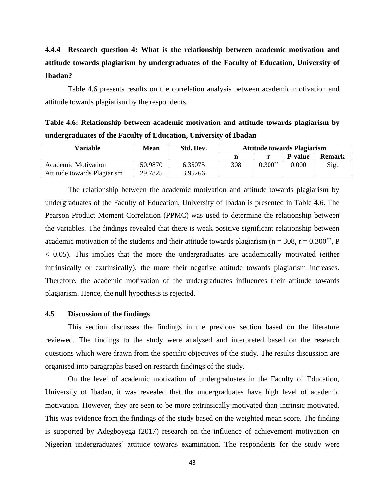# **4.4.4 Research question 4: What is the relationship between academic motivation and attitude towards plagiarism by undergraduates of the Faculty of Education, University of Ibadan?**

Table 4.6 presents results on the correlation analysis between academic motivation and attitude towards plagiarism by the respondents.

**Table 4.6: Relationship between academic motivation and attitude towards plagiarism by undergraduates of the Faculty of Education, University of Ibadan**

| Variable                    | Mean    | Std. Dev. | <b>Attitude towards Plagiarism</b> |           |                |               |
|-----------------------------|---------|-----------|------------------------------------|-----------|----------------|---------------|
|                             |         |           |                                    |           | <b>P-value</b> | <b>Remark</b> |
| Academic Motivation         | 50.9870 | 6.35075   | 308                                | $0.300**$ | 0.000          | Sig           |
| Attitude towards Plagiarism | 29.7825 | 3.95266   |                                    |           |                |               |

The relationship between the academic motivation and attitude towards plagiarism by undergraduates of the Faculty of Education, University of Ibadan is presented in Table 4.6. The Pearson Product Moment Correlation (PPMC) was used to determine the relationship between the variables. The findings revealed that there is weak positive significant relationship between academic motivation of the students and their attitude towards plagiarism ( $n = 308$ ,  $r = 0.300^{**}$ , P  $<$  0.05). This implies that the more the undergraduates are academically motivated (either intrinsically or extrinsically), the more their negative attitude towards plagiarism increases. Therefore, the academic motivation of the undergraduates influences their attitude towards plagiarism. Hence, the null hypothesis is rejected.

#### **4.5 Discussion of the findings**

This section discusses the findings in the previous section based on the literature reviewed. The findings to the study were analysed and interpreted based on the research questions which were drawn from the specific objectives of the study. The results discussion are organised into paragraphs based on research findings of the study.

On the level of academic motivation of undergraduates in the Faculty of Education, University of Ibadan, it was revealed that the undergraduates have high level of academic motivation. However, they are seen to be more extrinsically motivated than intrinsic motivated. This was evidence from the findings of the study based on the weighted mean score. The finding is supported by Adegboyega (2017) research on the influence of achievement motivation on Nigerian undergraduates' attitude towards examination. The respondents for the study were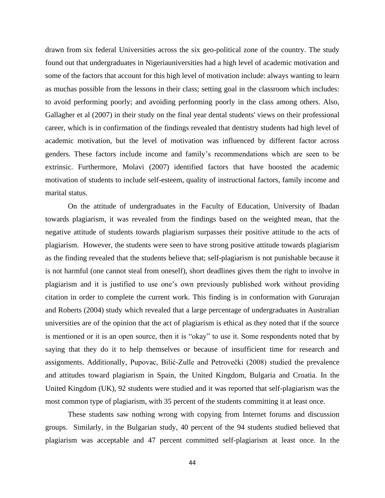drawn from six federal Universities across the six geo-political zone of the country. The study found out that undergraduates in Nigeriauniversities had a high level of academic motivation and some of the factors that account for this high level of motivation include: always wanting to learn as muchas possible from the lessons in their class; setting goal in the classroom which includes: to avoid performing poorly; and avoiding performing poorly in the class among others. Also, Gallagher et al (2007) in their study on the final year dental students' views on their professional career, which is in confirmation of the findings revealed that dentistry students had high level of academic motivation, but the level of motivation was influenced by different factor across genders. These factors include income and family's recommendations which are seen to be extrinsic. Furthermore, Molavi (2007) identified factors that have boosted the academic motivation of students to include self-esteem, quality of instructional factors, family income and marital status.

On the attitude of undergraduates in the Faculty of Education, University of Ibadan towards plagiarism, it was revealed from the findings based on the weighted mean, that the negative attitude of students towards plagiarism surpasses their positive attitude to the acts of plagiarism. However, the students were seen to have strong positive attitude towards plagiarism as the finding revealed that the students believe that; self-plagiarism is not punishable because it is not harmful (one cannot steal from oneself), short deadlines gives them the right to involve in plagiarism and it is justified to use one's own previously published work without providing citation in order to complete the current work. This finding is in conformation with Gururajan and Roberts (2004) study which revealed that a large percentage of undergraduates in Australian universities are of the opinion that the act of plagiarism is ethical as they noted that if the source is mentioned or it is an open source, then it is "okay" to use it. Some respondents noted that by saying that they do it to help themselves or because of insufficient time for research and assignments. Additionally, Pupovac, Bilić-Zulle and Petrovečki (2008) studied the prevalence and attitudes toward plagiarism in Spain, the United Kingdom, Bulgaria and Croatia. In the United Kingdom (UK), 92 students were studied and it was reported that self-plagiarism was the most common type of plagiarism, with 35 percent of the students committing it at least once.

These students saw nothing wrong with copying from Internet forums and discussion groups. Similarly, in the Bulgarian study, 40 percent of the 94 students studied believed that plagiarism was acceptable and 47 percent committed self-plagiarism at least once. In the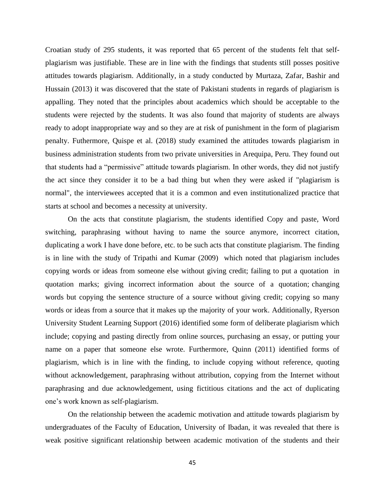Croatian study of 295 students, it was reported that 65 percent of the students felt that selfplagiarism was justifiable. These are in line with the findings that students still posses positive attitudes towards plagiarism. Additionally, in a study conducted by Murtaza, Zafar, Bashir and Hussain (2013) it was discovered that the state of Pakistani students in regards of plagiarism is appalling. They noted that the principles about academics which should be acceptable to the students were rejected by the students. It was also found that majority of students are always ready to adopt inappropriate way and so they are at risk of punishment in the form of plagiarism penalty. Futhermore, Quispe et al. (2018) study examined the attitudes towards plagiarism in business administration students from two private universities in Arequipa, Peru. They found out that students had a "permissive" attitude towards plagiarism. In other words, they did not justify the act since they consider it to be a bad thing but when they were asked if "plagiarism is normal", the interviewees accepted that it is a common and even institutionalized practice that starts at school and becomes a necessity at university.

On the acts that constitute plagiarism, the students identified Copy and paste, Word switching, paraphrasing without having to name the source anymore, incorrect citation, duplicating a work I have done before, etc. to be such acts that constitute plagiarism. The finding is in line with the study of Tripathi and Kumar (2009) which noted that plagiarism includes copying words or ideas from someone else without giving credit; failing to put a quotation in quotation marks; giving incorrect information about the source of a quotation; changing words but copying the sentence structure of a source without giving credit; copying so many words or ideas from a source that it makes up the majority of your work. Additionally, Ryerson University Student Learning Support (2016) identified some form of deliberate plagiarism which include; copying and pasting directly from online sources, purchasing an essay, or putting your name on a paper that someone else wrote. Furthermore, Quinn (2011) identified forms of plagiarism, which is in line with the finding, to include copying without reference, quoting without acknowledgement, paraphrasing without attribution, copying from the Internet without paraphrasing and due acknowledgement, using fictitious citations and the act of duplicating one's work known as self-plagiarism.

On the relationship between the academic motivation and attitude towards plagiarism by undergraduates of the Faculty of Education, University of Ibadan, it was revealed that there is weak positive significant relationship between academic motivation of the students and their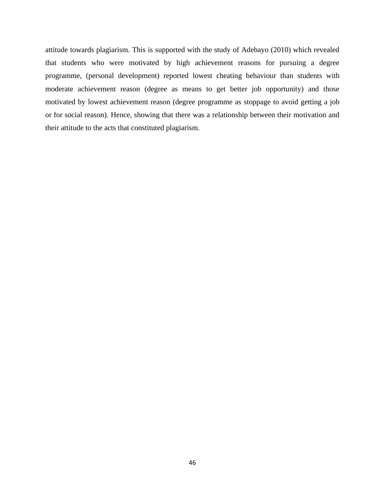attitude towards plagiarism. This is supported with the study of Adebayo (2010) which revealed that students who were motivated by high achievement reasons for pursuing a degree programme, (personal development) reported lowest cheating behaviour than students with moderate achievement reason (degree as means to get better job opportunity) and those motivated by lowest achievement reason (degree programme as stoppage to avoid getting a job or for social reason). Hence, showing that there was a relationship between their motivation and their attitude to the acts that constituted plagiarism.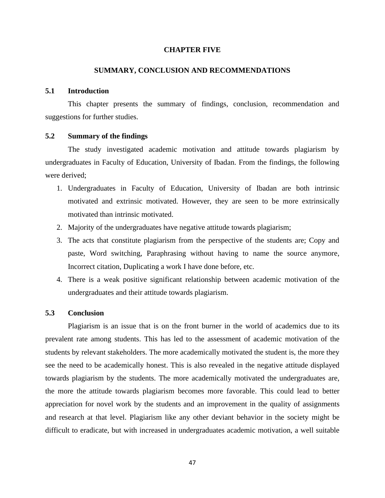## **CHAPTER FIVE**

# **SUMMARY, CONCLUSION AND RECOMMENDATIONS**

# **5.1 Introduction**

This chapter presents the summary of findings, conclusion, recommendation and suggestions for further studies.

# **5.2 Summary of the findings**

The study investigated academic motivation and attitude towards plagiarism by undergraduates in Faculty of Education, University of Ibadan. From the findings, the following were derived;

- 1. Undergraduates in Faculty of Education, University of Ibadan are both intrinsic motivated and extrinsic motivated. However, they are seen to be more extrinsically motivated than intrinsic motivated.
- 2. Majority of the undergraduates have negative attitude towards plagiarism;
- 3. The acts that constitute plagiarism from the perspective of the students are; Copy and paste, Word switching, Paraphrasing without having to name the source anymore, Incorrect citation, Duplicating a work I have done before, etc.
- 4. There is a weak positive significant relationship between academic motivation of the undergraduates and their attitude towards plagiarism.

# **5.3 Conclusion**

Plagiarism is an issue that is on the front burner in the world of academics due to its prevalent rate among students. This has led to the assessment of academic motivation of the students by relevant stakeholders. The more academically motivated the student is, the more they see the need to be academically honest. This is also revealed in the negative attitude displayed towards plagiarism by the students. The more academically motivated the undergraduates are, the more the attitude towards plagiarism becomes more favorable. This could lead to better appreciation for novel work by the students and an improvement in the quality of assignments and research at that level. Plagiarism like any other deviant behavior in the society might be difficult to eradicate, but with increased in undergraduates academic motivation, a well suitable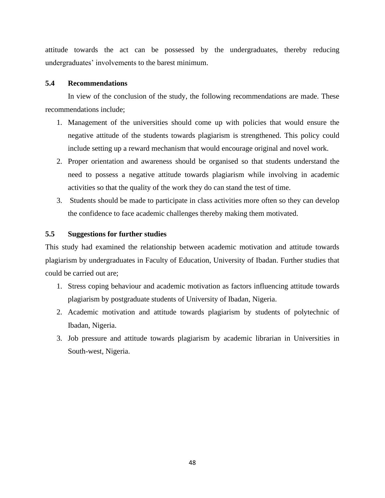attitude towards the act can be possessed by the undergraduates, thereby reducing undergraduates' involvements to the barest minimum.

# **5.4 Recommendations**

In view of the conclusion of the study, the following recommendations are made. These recommendations include;

- 1. Management of the universities should come up with policies that would ensure the negative attitude of the students towards plagiarism is strengthened. This policy could include setting up a reward mechanism that would encourage original and novel work.
- 2. Proper orientation and awareness should be organised so that students understand the need to possess a negative attitude towards plagiarism while involving in academic activities so that the quality of the work they do can stand the test of time.
- 3. Students should be made to participate in class activities more often so they can develop the confidence to face academic challenges thereby making them motivated.

# **5.5 Suggestions for further studies**

This study had examined the relationship between academic motivation and attitude towards plagiarism by undergraduates in Faculty of Education, University of Ibadan. Further studies that could be carried out are;

- 1. Stress coping behaviour and academic motivation as factors influencing attitude towards plagiarism by postgraduate students of University of Ibadan, Nigeria.
- 2. Academic motivation and attitude towards plagiarism by students of polytechnic of Ibadan, Nigeria.
- 3. Job pressure and attitude towards plagiarism by academic librarian in Universities in South-west, Nigeria.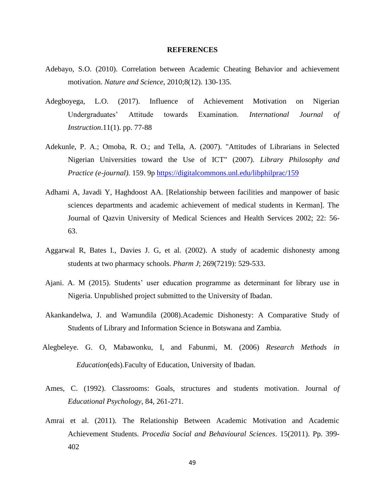#### **REFERENCES**

- Adebayo, S.O. (2010). Correlation between Academic Cheating Behavior and achievement motivation. *Nature and Science*, 2010;8(12). 130-135.
- Adegboyega, L.O. (2017). Influence of Achievement Motivation on Nigerian Undergraduates' Attitude towards Examination. *International Journal of Instruction*.11(1). pp. 77-88
- Adekunle, P. A.; Omoba, R. O.; and Tella, A. (2007). "Attitudes of Librarians in Selected Nigerian Universities toward the Use of ICT" (2007). *Library Philosophy and Practice (e-journal).* 159. 9p <https://digitalcommons.unl.edu/libphilprac/159>
- Adhami A, Javadi Y, Haghdoost AA. [Relationship between facilities and manpower of basic sciences departments and academic achievement of medical students in Kerman]. The Journal of Qazvin University of Medical Sciences and Health Services 2002; 22: 56- 63.
- Aggarwal R, Bates I., Davies J. G, et al. (2002). A study of academic dishonesty among students at two pharmacy schools. *Pharm J*; 269(7219): 529-533.
- Ajani. A. M (2015). Students' user education programme as determinant for library use in Nigeria. Unpublished project submitted to the University of Ibadan.
- Akankandelwa, J. and Wamundila (2008).Academic Dishonesty: A Comparative Study of Students of Library and Information Science in Botswana and Zambia.
- Alegbeleye. G. O, Mabawonku, I, and Fabunmi, M. (2006) *Research Methods in Education*(eds).Faculty of Education, University of Ibadan.
- Ames, C. (1992). Classrooms: Goals, structures and students motivation. Journal *of Educational Psychology*, 84, 261-271.
- Amrai et al. (2011). The Relationship Between Academic Motivation and Academic Achievement Students. *Procedia Social and Behavioural Sciences*. 15(2011). Pp. 399- 402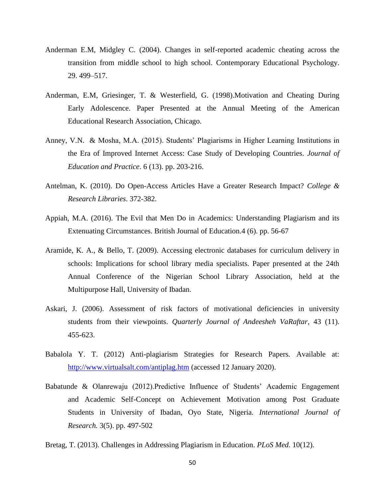- Anderman E.M, Midgley C. (2004). Changes in self-reported academic cheating across the transition from middle school to high school. Contemporary Educational Psychology. 29. 499–517.
- Anderman, E.M, Griesinger, T. & Westerfield, G. (1998).Motivation and Cheating During Early Adolescence. Paper Presented at the Annual Meeting of the American Educational Research Association, Chicago.
- Anney, V.N. & Mosha, M.A. (2015). Students' Plagiarisms in Higher Learning Institutions in the Era of Improved Internet Access: Case Study of Developing Countries. *Journal of Education and Practice*. 6 (13). pp. 203-216.
- Antelman, K. (2010). Do Open-Access Articles Have a Greater Research Impact? *College & Research Libraries*. 372-382.
- Appiah, M.A. (2016). The Evil that Men Do in Academics: Understanding Plagiarism and its Extenuating Circumstances. British Journal of Education.4 (6). pp. 56-67
- Aramide, K. A., & Bello, T. (2009). Accessing electronic databases for curriculum delivery in schools: Implications for school library media specialists. Paper presented at the 24th Annual Conference of the Nigerian School Library Association, held at the Multipurpose Hall, University of Ibadan.
- Askari, J. (2006). Assessment of risk factors of motivational deficiencies in university students from their viewpoints. *Quarterly Journal of Andeesheh VaRaftar*, 43 (11). 455-623.
- Babalola Y. T. (2012) Anti-plagiarism Strategies for Research Papers. Available at: <http://www.virtualsalt.com/antiplag.htm> (accessed 12 January 2020).
- Babatunde & Olanrewaju (2012).Predictive Influence of Students' Academic Engagement and Academic Self-Concept on Achievement Motivation among Post Graduate Students in University of Ibadan, Oyo State, Nigeria. *International Journal of Research.* 3(5). pp. 497-502
- Bretag, T. (2013). Challenges in Addressing Plagiarism in Education. *PLoS Med*. 10(12).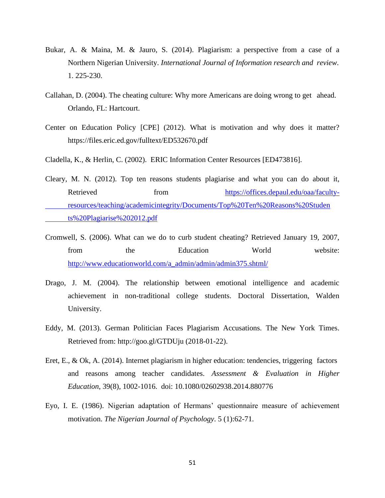- Bukar, A. & Maina, M. & Jauro, S. (2014). Plagiarism: a perspective from a case of a Northern Nigerian University. *International Journal of Information research and review*. 1. 225-230.
- Callahan, D. (2004). The cheating culture: Why more Americans are doing wrong to get ahead. Orlando, FL: Hartcourt.
- Center on Education Policy [CPE] (2012). What is motivation and why does it matter? https://files.eric.ed.gov/fulltext/ED532670.pdf
- Cladella, K., & Herlin, C. (2002). ERIC Information Center Resources [ED473816].
- Cleary, M. N. (2012). Top ten reasons students plagiarise and what you can do about it, Retrieved from [https://offices.depaul.edu/oaa/faculty](https://offices.depaul.edu/oaa/faculty-resources/teaching/academicintegrity/Documents/Top%20Ten%20Reasons%20Students%20Plagiarize%202012.pdf)[resources/teaching/academicintegrity/Documents/Top%20Ten%20Reasons%20Studen](https://offices.depaul.edu/oaa/faculty-resources/teaching/academicintegrity/Documents/Top%20Ten%20Reasons%20Students%20Plagiarize%202012.pdf) [ts%20Plagiarise%202012.pdf](https://offices.depaul.edu/oaa/faculty-resources/teaching/academicintegrity/Documents/Top%20Ten%20Reasons%20Students%20Plagiarize%202012.pdf)
- Cromwell, S. (2006). What can we do to curb student cheating? Retrieved January 19, 2007, from the Education World website: [http://www.educationworld.com/a\\_admin/admin/admin375.shtml/](http://www.educationworld.com/a_admin/admin/admin375.shtml/)
- Drago, J. M. (2004). The relationship between emotional intelligence and academic achievement in non-traditional college students. Doctoral Dissertation, Walden University.
- Eddy, M. (2013). German Politician Faces Plagiarism Accusations. The New York Times. Retrieved from: http://goo.gl/GTDUju (2018-01-22).
- Eret, E., & Ok, A. (2014). Internet plagiarism in higher education: tendencies, triggering factors and reasons among teacher candidates. *Assessment & Evaluation in Higher Education*, 39(8), 1002-1016. doi: 10.1080/02602938.2014.880776
- Eyo, I. E. (1986). Nigerian adaptation of Hermans' questionnaire measure of achievement motivation. *The Nigerian Journal of Psychology*. 5 (1):62-71.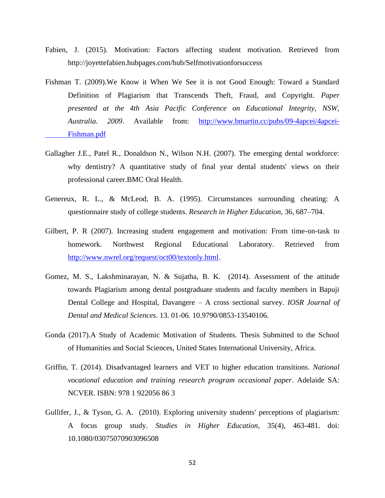- Fabien, J. (2015). Motivation: Factors affecting student motivation. Retrieved from http://joyettefabien.hubpages.com/hub/Selfmotivationforsuccess
- Fishman T. (2009).We Know it When We See it is not Good Enough: Toward a Standard Definition of Plagiarism that Transcends Theft, Fraud, and Copyright. *Paper presented at the 4th Asia Pacific Conference on Educational Integrity, NSW, Australia. 2009*. Available from: [http://www.bmartin.cc/pubs/09-4apcei/4apcei-](http://www.bmartin.cc/pubs/09-4apcei/4apcei-Fishman.pdf)[Fishman.pdf](http://www.bmartin.cc/pubs/09-4apcei/4apcei-Fishman.pdf)
- Gallagher J.E., Patel R., Donaldson N., Wilson N.H. (2007). The emerging dental workforce: why dentistry? A quantitative study of final year dental students' views on their professional career.BMC Oral Health.
- Genereux, R. L., & McLeod, B. A. (1995). Circumstances surrounding cheating: A questionnaire study of college students. *Research in Higher Education*, 36, 687–704.
- Gilbert, P. R (2007). Increasing student engagement and motivation: From time-on-task to homework. Northwest Regional Educational Laboratory. Retrieved from [http://www.nwrel.org/request/oct00/textonly.html.](http://www.nwrel.org/request/oct00/textonly.html)
- Gomez, M. S., Lakshminarayan, N. & Sujatha, B. K. (2014). Assessment of the attitude towards Plagiarism among dental postgraduate students and faculty members in Bapuji Dental College and Hospital, Davangere – A cross sectional survey. *IOSR Journal of Dental and Medical Sciences*. 13. 01-06. 10.9790/0853-13540106.
- Gonda (2017).A Study of Academic Motivation of Students. Thesis Submitted to the School of Humanities and Social Sciences, United States International University, Africa.
- Griffin, T. (2014). Disadvantaged learners and VET to higher education transitions. *National vocational education and training research program occasional paper*. Adelaide SA: NCVER. ISBN: 978 1 922056 86 3
- Gullifer, J., & Tyson, G. A. (2010). Exploring university students' perceptions of plagiarism: A focus group study. *Studies in Higher Education*, 35(4), 463-481. doi: 10.1080/03075070903096508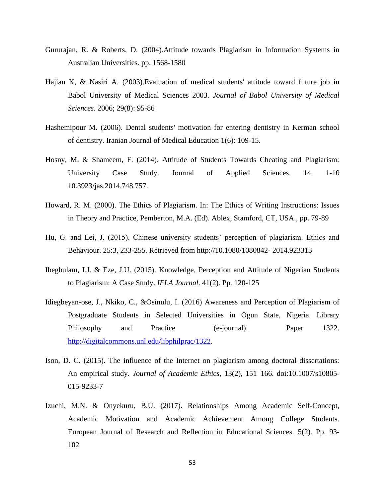- Gururajan, R. & Roberts, D. (2004).Attitude towards Plagiarism in Information Systems in Australian Universities. pp. 1568-1580
- Hajian K, & Nasiri A. (2003).Evaluation of medical students' attitude toward future job in Babol University of Medical Sciences 2003. *Journal of Babol University of Medical Sciences*. 2006; 29(8): 95-86
- Hashemipour M. (2006). Dental students' motivation for entering dentistry in Kerman school of dentistry. Iranian Journal of Medical Education 1(6): 109-15.
- Hosny, M. & Shameem, F. (2014). Attitude of Students Towards Cheating and Plagiarism: University Case Study. Journal of Applied Sciences. 14. 1-10 10.3923/jas.2014.748.757.
- Howard, R. M. (2000). The Ethics of Plagiarism. In: The Ethics of Writing Instructions: Issues in Theory and Practice, Pemberton, M.A. (Ed). Ablex, Stamford, CT, USA., pp. 79-89
- Hu, G. and Lei, J. (2015). Chinese university students' perception of plagiarism. Ethics and Behaviour. 25:3, 233-255. Retrieved from http://10.1080/1080842- 2014.923313
- Ibegbulam, I.J. & Eze, J.U. (2015). Knowledge, Perception and Attitude of Nigerian Students to Plagiarism: A Case Study. *IFLA Journal*. 41(2). Pp. 120-125
- Idiegbeyan-ose, J., Nkiko, C., &Osinulu, I. (2016) Awareness and Perception of Plagiarism of Postgraduate Students in Selected Universities in Ogun State, Nigeria. Library Philosophy and Practice (e-journal). Paper 1322. [http://digitalcommons.unl.edu/libphilprac/1322.](http://digitalcommons.unl.edu/libphilprac/1322)
- Ison, D. C. (2015). The influence of the Internet on plagiarism among doctoral dissertations: An empirical study. *Journal of Academic Ethics*, 13(2), 151–166. doi:10.1007/s10805- 015-9233-7
- Izuchi, M.N. & Onyekuru, B.U. (2017). Relationships Among Academic Self-Concept, Academic Motivation and Academic Achievement Among College Students. European Journal of Research and Reflection in Educational Sciences. 5(2). Pp. 93- 102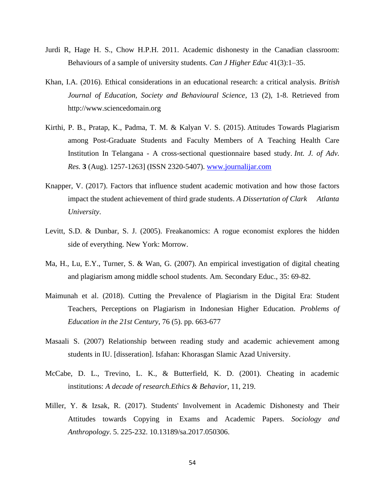- Jurdi R, Hage H. S., Chow H.P.H. 2011. Academic dishonesty in the Canadian classroom: Behaviours of a sample of university students. *Can J Higher Educ* 41(3):1–35.
- Khan, I.A. (2016). Ethical considerations in an educational research: a critical analysis. *British Journal of Education, Society and Behavioural Science*, 13 (2), 1-8. Retrieved from http://www.sciencedomain.org
- Kirthi, P. B., Pratap, K., Padma, T. M. & Kalyan V. S. (2015). Attitudes Towards Plagiarism among Post-Graduate Students and Faculty Members of A Teaching Health Care Institution In Telangana - A cross-sectional questionnaire based study. *Int. J. of Adv. Res.* **3** (Aug). 1257-1263] (ISSN 2320-5407). [www.journalijar.com](https://www.journalijar.com/)
- Knapper, V. (2017). Factors that influence student academic motivation and how those factors impact the student achievement of third grade students. *A Dissertation of Clark Atlanta University*.
- Levitt, S.D. & Dunbar, S. J. (2005). Freakanomics: A rogue economist explores the hidden side of everything. New York: Morrow.
- Ma, H., Lu, E.Y., Turner, S. & Wan, G. (2007). An empirical investigation of digital cheating and plagiarism among middle school students. Am. Secondary Educ., 35: 69-82.
- Maimunah et al. (2018). Cutting the Prevalence of Plagiarism in the Digital Era: Student Teachers, Perceptions on Plagiarism in Indonesian Higher Education. *Problems of Education in the 21st Century*, 76 (5). pp. 663-677
- Masaali S. (2007) Relationship between reading study and academic achievement among students in IU. [disseration]. Isfahan: Khorasgan Slamic Azad University.
- McCabe, D. L., Trevino, L. K., & Butterfield, K. D. (2001). Cheating in academic institutions: *A decade of research.Ethics & Behavior*, 11, 219.
- Miller, Y. & Izsak, R. (2017). Students' Involvement in Academic Dishonesty and Their Attitudes towards Copying in Exams and Academic Papers. *Sociology and Anthropology*. 5. 225-232. 10.13189/sa.2017.050306.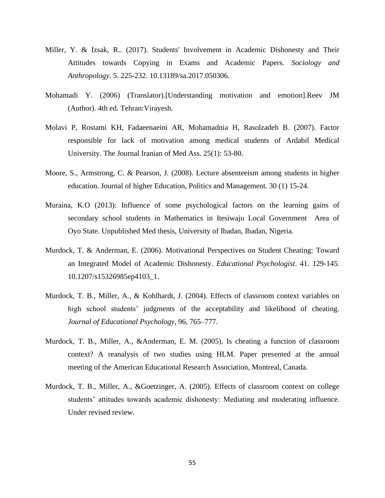- Miller, Y. & Izsak, R.. (2017). Students' Involvement in Academic Dishonesty and Their Attitudes towards Copying in Exams and Academic Papers. *Sociology and Anthropology*. 5. 225-232. 10.13189/sa.2017.050306.
- Mohamadi Y. (2006) (Translator).[Understanding motivation and emotion].Reev JM (Author). 4th ed. Tehran:Virayesh.
- Molavi P, Rostami KH, Fadaeenaeini AR, Mohamadnia H, Rasolzadeh B. (2007). Factor responsible for lack of motivation among medical students of Ardabil Medical University. The Journal Iranian of Med Ass. 25(1): 53-80.
- Moore, S., Armstrong, C. & Pearson, J. (2008). Lecture absenteeism among students in higher education. Journal of higher Education, Politics and Management. 30 (1) 15-24.
- Muraina, K.O (2013): Influence of some psychological factors on the learning gains of secondary school students in Mathematics in Itesiwaju Local Government Area of Oyo State. Unpublished Med thesis, University of Ibadan, Ibadan, Nigeria.
- Murdock, T. & Anderman, E. (2006). Motivational Perspectives on Student Cheating: Toward an Integrated Model of Academic Dishonesty. *Educational Psychologist*. 41. 129-145. 10.1207/s15326985ep4103\_1.
- Murdock, T. B., Miller, A., & Kohlhardt, J. (2004). Effects of classroom context variables on high school students' judgments of the acceptability and likelihood of cheating. *Journal of Educational Psychology*, 96, 765–777.
- Murdock, T. B., Miller, A., &Anderman, E. M. (2005). Is cheating a function of classroom context? A reanalysis of two studies using HLM. Paper presented at the annual meeting of the American Educational Research Association, Montreal, Canada.
- Murdock, T. B., Miller, A., &Goetzinger, A. (2005). Effects of classroom context on college students' attitudes towards academic dishonesty: Mediating and moderating influence. Under revised review.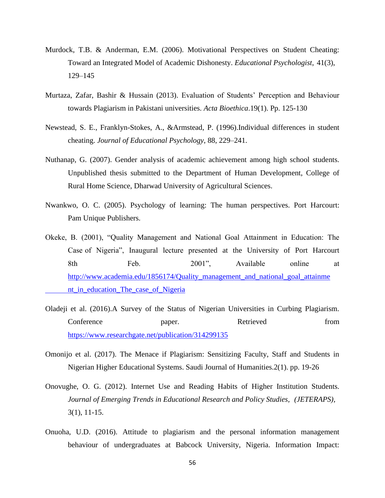- Murdock, T.B. & Anderman, E.M. (2006). Motivational Perspectives on Student Cheating: Toward an Integrated Model of Academic Dishonesty. *Educational Psychologist*, 41(3), 129–145
- Murtaza, Zafar, Bashir & Hussain (2013). Evaluation of Students' Perception and Behaviour towards Plagiarism in Pakistani universities. *Acta Bioethica*.19(1). Pp. 125-130
- Newstead, S. E., Franklyn-Stokes, A., &Armstead, P. (1996).Individual differences in student cheating. *Journal of Educational Psychology*, 88, 229–241.
- Nuthanap, G. (2007). Gender analysis of academic achievement among high school students. Unpublished thesis submitted to the Department of Human Development, College of Rural Home Science, Dharwad University of Agricultural Sciences.
- Nwankwo, O. C. (2005). Psychology of learning: The human perspectives. Port Harcourt: Pam Unique Publishers.
- Okeke, B. (2001), "Quality Management and National Goal Attainment in Education: The Case of Nigeria", Inaugural lecture presented at the University of Port Harcourt 8th Feb. 2001", Available online at [http://www.academia.edu/1856174/Quality\\_management\\_and\\_national\\_goal\\_attainme](http://www.academia.edu/1856174/Quality_management_and_national_goal_attainment_in_education_The_case_of_Nigeria) [nt\\_in\\_education\\_The\\_case\\_of\\_Nigeria](http://www.academia.edu/1856174/Quality_management_and_national_goal_attainment_in_education_The_case_of_Nigeria)
- Oladeji et al. (2016).A Survey of the Status of Nigerian Universities in Curbing Plagiarism. Conference paper. Retrieved from <https://www.researchgate.net/publication/314299135>
- Omonijo et al. (2017). The Menace if Plagiarism: Sensitizing Faculty, Staff and Students in Nigerian Higher Educational Systems. Saudi Journal of Humanities.2(1). pp. 19-26
- Onovughe, O. G. (2012). Internet Use and Reading Habits of Higher Institution Students. *Journal of Emerging Trends in Educational Research and Policy Studies, (JETERAPS),* 3(1), 11-15.
- Onuoha, U.D. (2016). Attitude to plagiarism and the personal information management behaviour of undergraduates at Babcock University, Nigeria. Information Impact: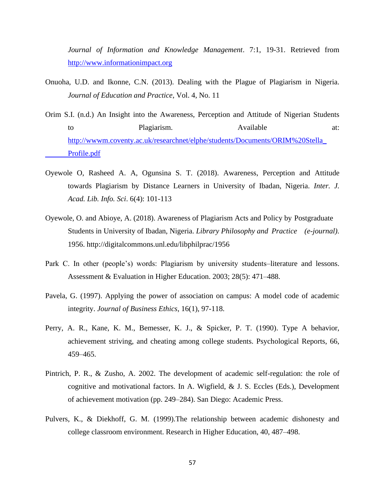*Journal of Information and Knowledge Management*. 7:1, 19-31. Retrieved from [http://www.informationimpact.org](http://www.informationimpact.org/)

- Onuoha, U.D. and Ikonne, C.N. (2013). Dealing with the Plague of Plagiarism in Nigeria. *Journal of Education and Practice*, Vol. 4, No. 11
- Orim S.I. (n.d.) An Insight into the Awareness, Perception and Attitude of Nigerian Students to Plagiarism. Available at: [http://wwwm.coventy.ac.uk/researchnet/elphe/students/Documents/ORIM%20Stella\\_](http://wwwm.coventy.ac.uk/researchnet/elphe/students/Documents/ORIM%20Stella_Profile.pdf) [Profile.pdf](http://wwwm.coventy.ac.uk/researchnet/elphe/students/Documents/ORIM%20Stella_Profile.pdf)
- Oyewole O, Rasheed A. A, Ogunsina S. T. (2018). Awareness, Perception and Attitude towards Plagiarism by Distance Learners in University of Ibadan, Nigeria. *Inter. J. Acad. Lib. Info. Sci*. 6(4): 101-113
- Oyewole, O. and Abioye, A. (2018). Awareness of Plagiarism Acts and Policy by Postgraduate Students in University of Ibadan, Nigeria. *Library Philosophy and Practice (e-journal).*  1956. http://digitalcommons.unl.edu/libphilprac/1956
- Park C. In other (people's) words: Plagiarism by university students–literature and lessons. Assessment & Evaluation in Higher Education. 2003; 28(5): 471–488.
- Pavela, G. (1997). Applying the power of association on campus: A model code of academic integrity. *Journal of Business Ethics*, 16(1), 97-118.
- Perry, A. R., Kane, K. M., Bemesser, K. J., & Spicker, P. T. (1990). Type A behavior, achievement striving, and cheating among college students. Psychological Reports, 66, 459–465.
- Pintrich, P. R., & Zusho, A. 2002. The development of academic self-regulation: the role of cognitive and motivational factors. In A. Wigfield,  $\&$  J. S. Eccles (Eds.), Development of achievement motivation (pp. 249–284). San Diego: Academic Press.
- Pulvers, K., & Diekhoff, G. M. (1999).The relationship between academic dishonesty and college classroom environment. Research in Higher Education, 40, 487–498.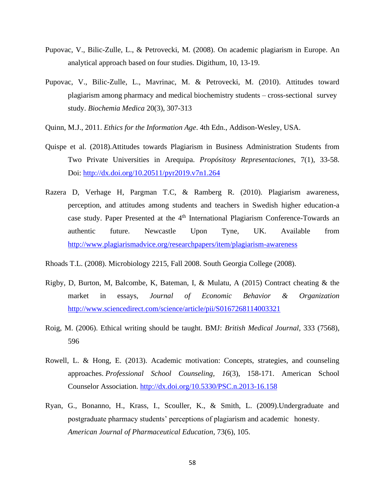- Pupovac, V., Bilic-Zulle, L., & Petrovecki, M. (2008). On academic plagiarism in Europe. An analytical approach based on four studies. Digithum, 10, 13-19.
- Pupovac, V., Bilic-Zulle, L., Mavrinac, M. & Petrovecki, M. (2010). Attitudes toward plagiarism among pharmacy and medical biochemistry students – cross-sectional survey study. *Biochemia Medica* 20(3), 307-313
- Quinn, M.J., 2011. *Ethics for the Information Age*. 4th Edn., Addison-Wesley, USA.
- Quispe et al. (2018).Attitudes towards Plagiarism in Business Administration Students from Two Private Universities in Arequipa. *Propósitosy Representaciones*, 7(1), 33-58. Doi:<http://dx.doi.org/10.20511/pyr2019.v7n1.264>
- Razera D, Verhage H, Pargman T.C, & Ramberg R. (2010). Plagiarism awareness, perception, and attitudes among students and teachers in Swedish higher education-a case study. Paper Presented at the  $4<sup>th</sup>$  International Plagiarism Conference-Towards an authentic future. Newcastle Upon Tyne, UK. Available from <http://www.plagiarismadvice.org/researchpapers/item/plagiarism-awareness>
- Rhoads T.L. (2008). Microbiology 2215, Fall 2008. South Georgia College (2008).
- Rigby, D, Burton, M, Balcombe, K, Bateman, I, & Mulatu, A (2015) Contract cheating & the market in essays, *Journal of Economic Behavior & Organization* <http://www.sciencedirect.com/science/article/pii/S0167268114003321>
- Roig, M. (2006). Ethical writing should be taught. BMJ: *British Medical Journal*, 333 (7568), 596
- Rowell, L. & Hong, E. (2013). Academic motivation: Concepts, strategies, and counseling approaches. *Professional School Counseling, 16*(3), 158-171. American School Counselor Association. <http://dx.doi.org/10.5330/PSC.n.2013-16.158>
- Ryan, G., Bonanno, H., Krass, I., Scouller, K., & Smith, L. (2009).Undergraduate and postgraduate pharmacy students' perceptions of plagiarism and academic honesty. *American Journal of Pharmaceutical Education*, 73(6), 105.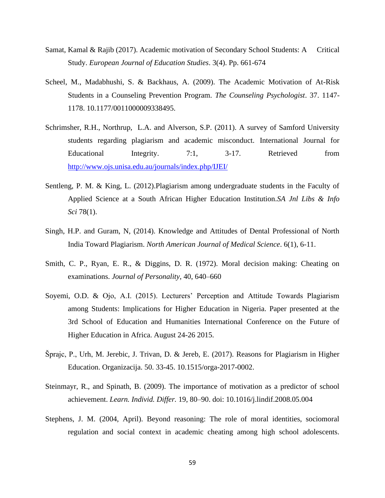- Samat, Kamal & Rajib (2017). Academic motivation of Secondary School Students: A Critical Study. *European Journal of Education Studies*. 3(4). Pp. 661-674
- Scheel, M., Madabhushi, S. & Backhaus, A. (2009). The Academic Motivation of At-Risk Students in a Counseling Prevention Program. *The Counseling Psychologist*. 37. 1147- 1178. 10.1177/0011000009338495.
- Schrimsher, R.H., Northrup, L.A. and Alverson, S.P. (2011). A survey of Samford University students regarding plagiarism and academic misconduct. International Journal for Educational Integrity. 7:1, 3-17. Retrieved from <http://www.ojs.unisa.edu.au/journals/index.php/IJEI/>
- Sentleng, P. M. & King, L. (2012).Plagiarism among undergraduate students in the Faculty of Applied Science at a South African Higher Education Institution.*SA Jnl Libs & Info Sci* 78(1).
- Singh, H.P. and Guram, N, (2014). Knowledge and Attitudes of Dental Professional of North India Toward Plagiarism. *North American Journal of Medical Science*. 6(1), 6-11.
- Smith, C. P., Ryan, E. R., & Diggins, D. R. (1972). Moral decision making: Cheating on examinations. *Journal of Personality*, 40, 640–660
- Soyemi, O.D. & Ojo, A.I. (2015). Lecturers' Perception and Attitude Towards Plagiarism among Students: Implications for Higher Education in Nigeria. Paper presented at the 3rd School of Education and Humanities International Conference on the Future of Higher Education in Africa. August 24-26 2015.
- Šprajc, P., Urh, M. Jerebic, J. Trivan, D. & Jereb, E. (2017). Reasons for Plagiarism in Higher Education. Organizacija. 50. 33-45. 10.1515/orga-2017-0002.
- Steinmayr, R., and Spinath, B. (2009). The importance of motivation as a predictor of school achievement. *Learn. Individ. Differ.* 19, 80–90. doi: 10.1016/j.lindif.2008.05.004
- Stephens, J. M. (2004, April). Beyond reasoning: The role of moral identities, sociomoral regulation and social context in academic cheating among high school adolescents.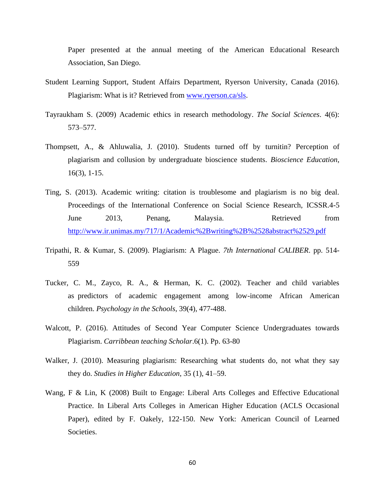Paper presented at the annual meeting of the American Educational Research Association, San Diego.

- Student Learning Support, Student Affairs Department, Ryerson University, Canada (2016). Plagiarism: What is it? Retrieved from [www.ryerson.ca/sls.](http://www.ryerson.ca/sls)
- Tayraukham S. (2009) Academic ethics in research methodology. *The Social Sciences*. 4(6): 573–577.
- Thompsett, A., & Ahluwalia, J. (2010). Students turned off by turnitin? Perception of plagiarism and collusion by undergraduate bioscience students. *Bioscience Education*, 16(3), 1-15.
- Ting, S. (2013). Academic writing: citation is troublesome and plagiarism is no big deal. Proceedings of the International Conference on Social Science Research, ICSSR.4-5 June 2013, Penang, Malaysia. Retrieved from <http://www.ir.unimas.my/717/1/Academic%2Bwriting%2B%2528abstract%2529.pdf>
- Tripathi, R. & Kumar, S. (2009). Plagiarism: A Plague. *7th International CALIBER*. pp. 514- 559
- Tucker, C. M., Zayco, R. A., & Herman, K. C. (2002). Teacher and child variables as predictors of academic engagement among low-income African American children. *Psychology in the Schools*, 39(4), 477-488.
- Walcott, P. (2016). Attitudes of Second Year Computer Science Undergraduates towards Plagiarism. *Carribbean teaching Scholar*.6(1). Pp. 63-80
- Walker, J. (2010). Measuring plagiarism: Researching what students do, not what they say they do. *Studies in Higher Education*, 35 (1), 41–59.
- Wang, F & Lin, K (2008) Built to Engage: Liberal Arts Colleges and Effective Educational Practice. In Liberal Arts Colleges in American Higher Education (ACLS Occasional Paper), edited by F. Oakely, 122-150. New York: American Council of Learned Societies.